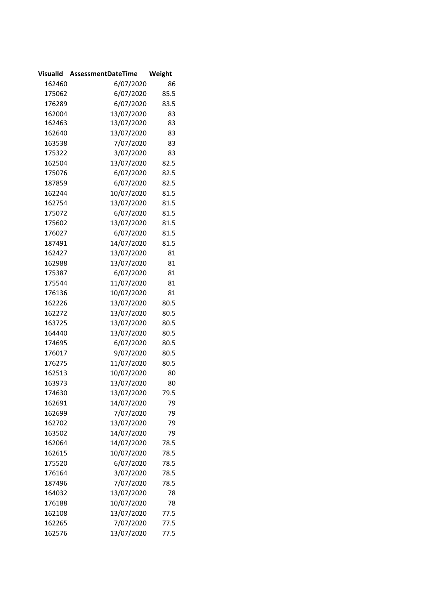|        | VisualId AssessmentDateTime | Weight |
|--------|-----------------------------|--------|
| 162460 | 6/07/2020                   | 86     |
| 175062 | 6/07/2020                   | 85.5   |
| 176289 | 6/07/2020                   | 83.5   |
| 162004 | 13/07/2020                  | 83     |
| 162463 | 13/07/2020                  | 83     |
| 162640 | 13/07/2020                  | 83     |
| 163538 | 7/07/2020                   | 83     |
| 175322 | 3/07/2020                   | 83     |
| 162504 | 13/07/2020                  | 82.5   |
| 175076 | 6/07/2020                   | 82.5   |
| 187859 | 6/07/2020                   | 82.5   |
| 162244 | 10/07/2020                  | 81.5   |
| 162754 | 13/07/2020                  | 81.5   |
| 175072 | 6/07/2020                   | 81.5   |
| 175602 | 13/07/2020                  | 81.5   |
| 176027 | 6/07/2020                   | 81.5   |
| 187491 | 14/07/2020                  | 81.5   |
| 162427 | 13/07/2020                  | 81     |
| 162988 | 13/07/2020                  | 81     |
| 175387 | 6/07/2020                   | 81     |
| 175544 | 11/07/2020                  | 81     |
| 176136 | 10/07/2020                  | 81     |
| 162226 | 13/07/2020                  | 80.5   |
| 162272 | 13/07/2020                  | 80.5   |
| 163725 | 13/07/2020                  | 80.5   |
| 164440 | 13/07/2020                  | 80.5   |
| 174695 | 6/07/2020                   | 80.5   |
| 176017 | 9/07/2020                   | 80.5   |
| 176275 | 11/07/2020                  | 80.5   |
| 162513 | 10/07/2020                  | 80     |
| 163973 | 13/07/2020                  | 80     |
| 174630 | 13/07/2020                  | 79.5   |
| 162691 | 14/07/2020                  | 79     |
| 162699 | 7/07/2020                   | 79     |
| 162702 | 13/07/2020                  | 79     |
| 163502 | 14/07/2020                  | 79     |
| 162064 | 14/07/2020                  | 78.5   |
| 162615 | 10/07/2020                  | 78.5   |
| 175520 | 6/07/2020                   | 78.5   |
| 176164 | 3/07/2020                   | 78.5   |
| 187496 | 7/07/2020                   | 78.5   |
| 164032 | 13/07/2020                  | 78     |
| 176188 | 10/07/2020                  | 78     |
| 162108 | 13/07/2020                  | 77.5   |
| 162265 | 7/07/2020                   | 77.5   |
| 162576 | 13/07/2020                  | 77.5   |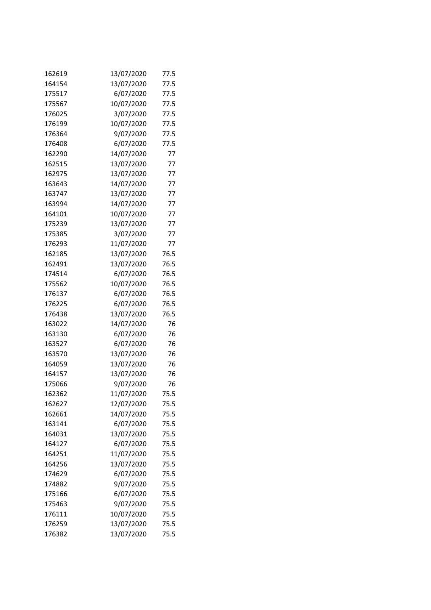| 162619 | 13/07/2020 | 77.5 |
|--------|------------|------|
| 164154 | 13/07/2020 | 77.5 |
| 175517 | 6/07/2020  | 77.5 |
| 175567 | 10/07/2020 | 77.5 |
| 176025 | 3/07/2020  | 77.5 |
| 176199 | 10/07/2020 | 77.5 |
| 176364 | 9/07/2020  | 77.5 |
| 176408 | 6/07/2020  | 77.5 |
| 162290 | 14/07/2020 | 77   |
| 162515 | 13/07/2020 | 77   |
| 162975 | 13/07/2020 | 77   |
| 163643 | 14/07/2020 | 77   |
| 163747 | 13/07/2020 | 77   |
| 163994 | 14/07/2020 | 77   |
| 164101 | 10/07/2020 | 77   |
| 175239 | 13/07/2020 | 77   |
| 175385 | 3/07/2020  | 77   |
| 176293 | 11/07/2020 | 77   |
| 162185 | 13/07/2020 | 76.5 |
| 162491 | 13/07/2020 | 76.5 |
| 174514 | 6/07/2020  | 76.5 |
| 175562 | 10/07/2020 | 76.5 |
| 176137 | 6/07/2020  | 76.5 |
| 176225 | 6/07/2020  | 76.5 |
| 176438 | 13/07/2020 | 76.5 |
| 163022 | 14/07/2020 | 76   |
| 163130 | 6/07/2020  | 76   |
| 163527 | 6/07/2020  | 76   |
| 163570 | 13/07/2020 | 76   |
| 164059 | 13/07/2020 | 76   |
| 164157 | 13/07/2020 | 76   |
| 175066 | 9/07/2020  | 76   |
| 162362 | 11/07/2020 | 75.5 |
| 162627 | 12/07/2020 | 75.5 |
| 162661 | 14/07/2020 | 75.5 |
| 163141 | 6/07/2020  | 75.5 |
| 164031 | 13/07/2020 | 75.5 |
| 164127 | 6/07/2020  | 75.5 |
| 164251 | 11/07/2020 | 75.5 |
| 164256 | 13/07/2020 | 75.5 |
| 174629 | 6/07/2020  | 75.5 |
| 174882 | 9/07/2020  | 75.5 |
| 175166 | 6/07/2020  | 75.5 |
| 175463 | 9/07/2020  | 75.5 |
| 176111 | 10/07/2020 | 75.5 |
| 176259 | 13/07/2020 | 75.5 |
| 176382 | 13/07/2020 | 75.5 |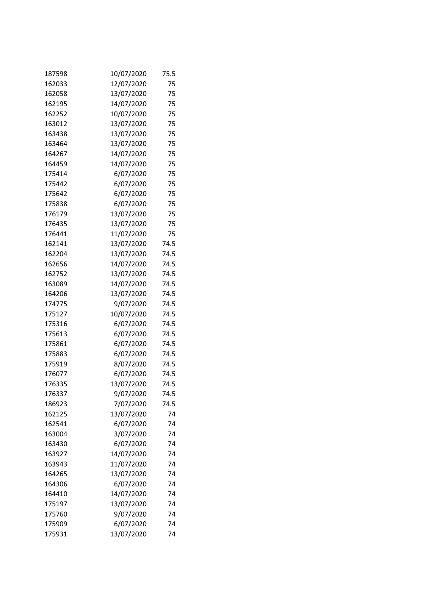| 187598 | 10/07/2020 | 75.5 |
|--------|------------|------|
| 162033 | 12/07/2020 | 75   |
| 162058 | 13/07/2020 | 75   |
| 162195 | 14/07/2020 | 75   |
| 162252 | 10/07/2020 | 75   |
| 163012 | 13/07/2020 | 75   |
| 163438 | 13/07/2020 | 75   |
| 163464 | 13/07/2020 | 75   |
| 164267 | 14/07/2020 | 75   |
| 164459 | 14/07/2020 | 75   |
| 175414 | 6/07/2020  | 75   |
| 175442 | 6/07/2020  | 75   |
| 175642 | 6/07/2020  | 75   |
| 175838 | 6/07/2020  | 75   |
| 176179 | 13/07/2020 | 75   |
| 176435 | 13/07/2020 | 75   |
| 176441 | 11/07/2020 | 75   |
| 162141 | 13/07/2020 | 74.5 |
| 162204 | 13/07/2020 | 74.5 |
| 162656 | 14/07/2020 | 74.5 |
| 162752 | 13/07/2020 | 74.5 |
| 163089 | 14/07/2020 | 74.5 |
| 164206 | 13/07/2020 | 74.5 |
| 174775 | 9/07/2020  | 74.5 |
| 175127 | 10/07/2020 | 74.5 |
| 175316 | 6/07/2020  | 74.5 |
| 175613 | 6/07/2020  | 74.5 |
| 175861 | 6/07/2020  | 74.5 |
| 175883 | 6/07/2020  | 74.5 |
| 175919 | 8/07/2020  | 74.5 |
| 176077 | 6/07/2020  | 74.5 |
| 176335 | 13/07/2020 | 74.5 |
| 176337 | 9/07/2020  | 74.5 |
| 186923 | 7/07/2020  | 74.5 |
| 162125 | 13/07/2020 | 74   |
| 162541 | 6/07/2020  | 74   |
| 163004 | 3/07/2020  | 74   |
| 163430 | 6/07/2020  | 74   |
| 163927 | 14/07/2020 | 74   |
| 163943 | 11/07/2020 | 74   |
| 164265 | 13/07/2020 | 74   |
| 164306 | 6/07/2020  | 74   |
| 164410 | 14/07/2020 | 74   |
| 175197 | 13/07/2020 | 74   |
| 175760 | 9/07/2020  | 74   |
| 175909 | 6/07/2020  | 74   |
| 175931 | 13/07/2020 | 74   |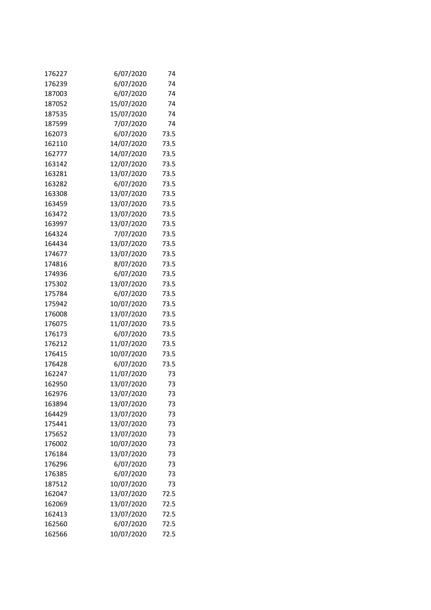| 176227 | 6/07/2020  | 74   |
|--------|------------|------|
| 176239 | 6/07/2020  | 74   |
| 187003 | 6/07/2020  | 74   |
| 187052 | 15/07/2020 | 74   |
| 187535 | 15/07/2020 | 74   |
| 187599 | 7/07/2020  | 74   |
| 162073 | 6/07/2020  | 73.5 |
| 162110 | 14/07/2020 | 73.5 |
| 162777 | 14/07/2020 | 73.5 |
| 163142 | 12/07/2020 | 73.5 |
| 163281 | 13/07/2020 | 73.5 |
| 163282 | 6/07/2020  | 73.5 |
| 163308 | 13/07/2020 | 73.5 |
| 163459 | 13/07/2020 | 73.5 |
| 163472 | 13/07/2020 | 73.5 |
| 163997 | 13/07/2020 | 73.5 |
| 164324 | 7/07/2020  | 73.5 |
| 164434 | 13/07/2020 | 73.5 |
| 174677 | 13/07/2020 | 73.5 |
| 174816 | 8/07/2020  | 73.5 |
| 174936 | 6/07/2020  | 73.5 |
| 175302 | 13/07/2020 | 73.5 |
| 175784 | 6/07/2020  | 73.5 |
| 175942 | 10/07/2020 | 73.5 |
| 176008 | 13/07/2020 | 73.5 |
| 176075 | 11/07/2020 | 73.5 |
| 176173 | 6/07/2020  | 73.5 |
| 176212 | 11/07/2020 | 73.5 |
| 176415 | 10/07/2020 | 73.5 |
| 176428 | 6/07/2020  | 73.5 |
| 162247 | 11/07/2020 | 73   |
| 162950 | 13/07/2020 | 73   |
| 162976 | 13/07/2020 | 73   |
| 163894 | 13/07/2020 | 73   |
| 164429 | 13/07/2020 | 73   |
| 175441 | 13/07/2020 | 73   |
| 175652 | 13/07/2020 | 73   |
| 176002 | 10/07/2020 | 73   |
| 176184 | 13/07/2020 | 73   |
| 176296 | 6/07/2020  | 73   |
| 176385 | 6/07/2020  | 73   |
| 187512 | 10/07/2020 | 73   |
| 162047 | 13/07/2020 | 72.5 |
| 162069 | 13/07/2020 | 72.5 |
| 162413 | 13/07/2020 | 72.5 |
| 162560 | 6/07/2020  | 72.5 |
| 162566 | 10/07/2020 | 72.5 |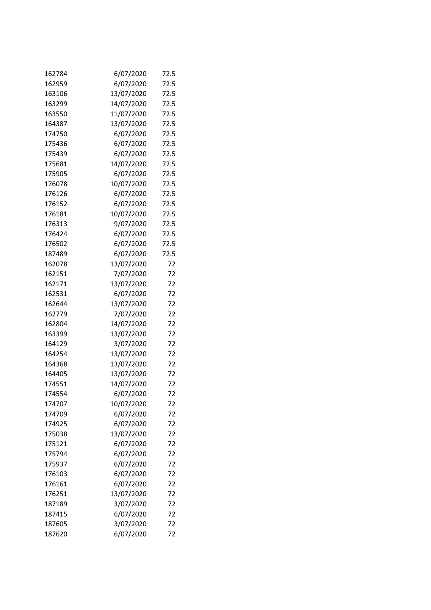| 162784 | 6/07/2020  | 72.5 |
|--------|------------|------|
| 162959 | 6/07/2020  | 72.5 |
| 163106 | 13/07/2020 | 72.5 |
| 163299 | 14/07/2020 | 72.5 |
| 163550 | 11/07/2020 | 72.5 |
| 164387 | 13/07/2020 | 72.5 |
| 174750 | 6/07/2020  | 72.5 |
| 175436 | 6/07/2020  | 72.5 |
| 175439 | 6/07/2020  | 72.5 |
| 175681 | 14/07/2020 | 72.5 |
| 175905 | 6/07/2020  | 72.5 |
| 176078 | 10/07/2020 | 72.5 |
| 176126 | 6/07/2020  | 72.5 |
| 176152 | 6/07/2020  | 72.5 |
| 176181 | 10/07/2020 | 72.5 |
| 176313 | 9/07/2020  | 72.5 |
| 176424 | 6/07/2020  | 72.5 |
| 176502 | 6/07/2020  | 72.5 |
| 187489 | 6/07/2020  | 72.5 |
| 162078 | 13/07/2020 | 72   |
| 162151 | 7/07/2020  | 72   |
| 162171 | 13/07/2020 | 72   |
| 162531 | 6/07/2020  | 72   |
| 162644 | 13/07/2020 | 72   |
| 162779 | 7/07/2020  | 72   |
| 162804 | 14/07/2020 | 72   |
| 163399 | 13/07/2020 | 72   |
| 164129 | 3/07/2020  | 72   |
| 164254 | 13/07/2020 | 72   |
| 164368 | 13/07/2020 | 72   |
| 164405 | 13/07/2020 | 72   |
| 174551 | 14/07/2020 | 72   |
| 174554 | 6/07/2020  | 72   |
| 174707 | 10/07/2020 | 72   |
| 174709 | 6/07/2020  | 72   |
| 174925 | 6/07/2020  | 72   |
| 175038 | 13/07/2020 | 72   |
| 175121 | 6/07/2020  | 72   |
| 175794 | 6/07/2020  | 72   |
| 175937 | 6/07/2020  | 72   |
| 176103 | 6/07/2020  | 72   |
| 176161 | 6/07/2020  | 72   |
| 176251 | 13/07/2020 | 72   |
| 187189 | 3/07/2020  | 72   |
| 187415 | 6/07/2020  | 72   |
| 187605 | 3/07/2020  | 72   |
| 187620 | 6/07/2020  | 72   |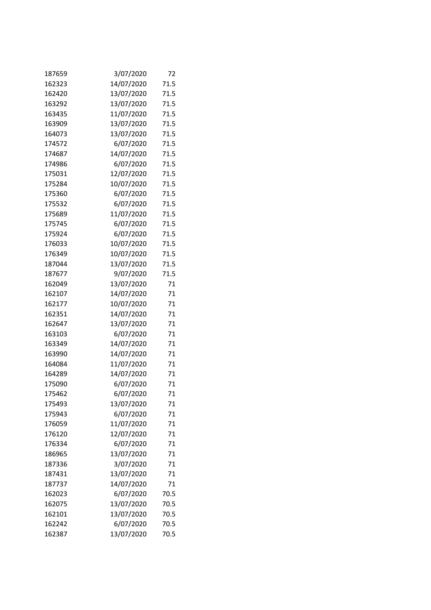| 187659 | 3/07/2020  | 72   |
|--------|------------|------|
| 162323 | 14/07/2020 | 71.5 |
| 162420 | 13/07/2020 | 71.5 |
| 163292 | 13/07/2020 | 71.5 |
| 163435 | 11/07/2020 | 71.5 |
| 163909 | 13/07/2020 | 71.5 |
| 164073 | 13/07/2020 | 71.5 |
| 174572 | 6/07/2020  | 71.5 |
| 174687 | 14/07/2020 | 71.5 |
| 174986 | 6/07/2020  | 71.5 |
| 175031 | 12/07/2020 | 71.5 |
| 175284 | 10/07/2020 | 71.5 |
| 175360 | 6/07/2020  | 71.5 |
| 175532 | 6/07/2020  | 71.5 |
| 175689 | 11/07/2020 | 71.5 |
| 175745 | 6/07/2020  | 71.5 |
| 175924 | 6/07/2020  | 71.5 |
| 176033 | 10/07/2020 | 71.5 |
| 176349 | 10/07/2020 | 71.5 |
| 187044 | 13/07/2020 | 71.5 |
| 187677 | 9/07/2020  | 71.5 |
| 162049 | 13/07/2020 | 71   |
| 162107 | 14/07/2020 | 71   |
| 162177 | 10/07/2020 | 71   |
| 162351 | 14/07/2020 | 71   |
| 162647 | 13/07/2020 | 71   |
| 163103 | 6/07/2020  | 71   |
| 163349 | 14/07/2020 | 71   |
| 163990 | 14/07/2020 | 71   |
| 164084 | 11/07/2020 | 71   |
| 164289 | 14/07/2020 | 71   |
| 175090 | 6/07/2020  | 71   |
| 175462 | 6/07/2020  | 71   |
| 175493 | 13/07/2020 | 71   |
| 175943 | 6/07/2020  | 71   |
| 176059 | 11/07/2020 | 71   |
| 176120 | 12/07/2020 | 71   |
| 176334 | 6/07/2020  | 71   |
| 186965 | 13/07/2020 | 71   |
| 187336 | 3/07/2020  | 71   |
| 187431 | 13/07/2020 | 71   |
| 187737 | 14/07/2020 | 71   |
| 162023 | 6/07/2020  | 70.5 |
| 162075 | 13/07/2020 | 70.5 |
| 162101 | 13/07/2020 | 70.5 |
| 162242 | 6/07/2020  | 70.5 |
| 162387 | 13/07/2020 | 70.5 |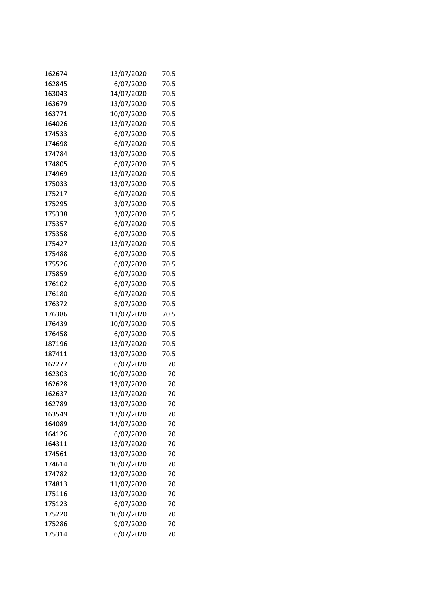| 162674 | 13/07/2020 | 70.5 |
|--------|------------|------|
| 162845 | 6/07/2020  | 70.5 |
| 163043 | 14/07/2020 | 70.5 |
| 163679 | 13/07/2020 | 70.5 |
| 163771 | 10/07/2020 | 70.5 |
| 164026 | 13/07/2020 | 70.5 |
| 174533 | 6/07/2020  | 70.5 |
| 174698 | 6/07/2020  | 70.5 |
| 174784 | 13/07/2020 | 70.5 |
| 174805 | 6/07/2020  | 70.5 |
| 174969 | 13/07/2020 | 70.5 |
| 175033 | 13/07/2020 | 70.5 |
| 175217 | 6/07/2020  | 70.5 |
| 175295 | 3/07/2020  | 70.5 |
| 175338 | 3/07/2020  | 70.5 |
| 175357 | 6/07/2020  | 70.5 |
| 175358 | 6/07/2020  | 70.5 |
| 175427 | 13/07/2020 | 70.5 |
| 175488 | 6/07/2020  | 70.5 |
| 175526 | 6/07/2020  | 70.5 |
| 175859 | 6/07/2020  | 70.5 |
| 176102 | 6/07/2020  | 70.5 |
| 176180 | 6/07/2020  | 70.5 |
| 176372 | 8/07/2020  | 70.5 |
| 176386 | 11/07/2020 | 70.5 |
| 176439 | 10/07/2020 | 70.5 |
| 176458 | 6/07/2020  | 70.5 |
| 187196 | 13/07/2020 | 70.5 |
| 187411 | 13/07/2020 | 70.5 |
| 162277 | 6/07/2020  | 70   |
| 162303 | 10/07/2020 | 70   |
| 162628 | 13/07/2020 | 70   |
| 162637 | 13/07/2020 | 70   |
| 162789 | 13/07/2020 | 70   |
| 163549 | 13/07/2020 | 70   |
| 164089 | 14/07/2020 | 70   |
| 164126 | 6/07/2020  | 70   |
| 164311 | 13/07/2020 | 70   |
| 174561 | 13/07/2020 | 70   |
| 174614 | 10/07/2020 | 70   |
| 174782 | 12/07/2020 | 70   |
| 174813 | 11/07/2020 | 70   |
| 175116 | 13/07/2020 | 70   |
| 175123 | 6/07/2020  | 70   |
| 175220 | 10/07/2020 | 70   |
| 175286 | 9/07/2020  | 70   |
| 175314 | 6/07/2020  | 70   |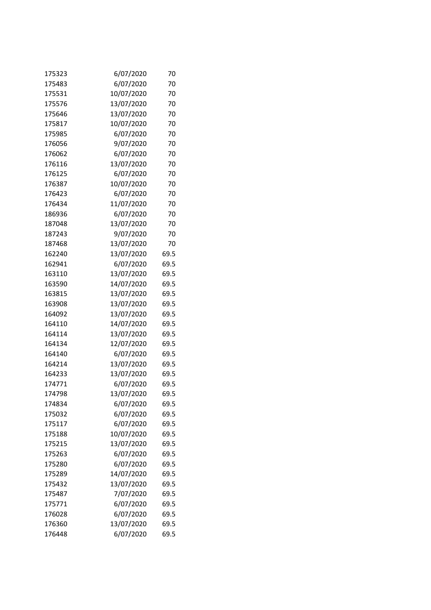| 175323 | 6/07/2020  | 70   |
|--------|------------|------|
| 175483 | 6/07/2020  | 70   |
| 175531 | 10/07/2020 | 70   |
| 175576 | 13/07/2020 | 70   |
| 175646 | 13/07/2020 | 70   |
| 175817 | 10/07/2020 | 70   |
| 175985 | 6/07/2020  | 70   |
| 176056 | 9/07/2020  | 70   |
| 176062 | 6/07/2020  | 70   |
| 176116 | 13/07/2020 | 70   |
| 176125 | 6/07/2020  | 70   |
| 176387 | 10/07/2020 | 70   |
| 176423 | 6/07/2020  | 70   |
| 176434 | 11/07/2020 | 70   |
| 186936 | 6/07/2020  | 70   |
| 187048 | 13/07/2020 | 70   |
| 187243 | 9/07/2020  | 70   |
| 187468 | 13/07/2020 | 70   |
| 162240 | 13/07/2020 | 69.5 |
| 162941 | 6/07/2020  | 69.5 |
| 163110 | 13/07/2020 | 69.5 |
| 163590 | 14/07/2020 | 69.5 |
| 163815 | 13/07/2020 | 69.5 |
| 163908 | 13/07/2020 | 69.5 |
| 164092 | 13/07/2020 | 69.5 |
| 164110 | 14/07/2020 | 69.5 |
| 164114 | 13/07/2020 | 69.5 |
| 164134 | 12/07/2020 | 69.5 |
| 164140 | 6/07/2020  | 69.5 |
| 164214 | 13/07/2020 | 69.5 |
| 164233 | 13/07/2020 | 69.5 |
| 174771 | 6/07/2020  | 69.5 |
| 174798 | 13/07/2020 | 69.5 |
| 174834 | 6/07/2020  | 69.5 |
| 175032 | 6/07/2020  | 69.5 |
| 175117 | 6/07/2020  | 69.5 |
| 175188 | 10/07/2020 | 69.5 |
| 175215 | 13/07/2020 | 69.5 |
| 175263 | 6/07/2020  | 69.5 |
| 175280 | 6/07/2020  | 69.5 |
| 175289 | 14/07/2020 | 69.5 |
| 175432 | 13/07/2020 | 69.5 |
| 175487 | 7/07/2020  | 69.5 |
| 175771 | 6/07/2020  | 69.5 |
| 176028 | 6/07/2020  | 69.5 |
| 176360 | 13/07/2020 | 69.5 |
| 176448 | 6/07/2020  | 69.5 |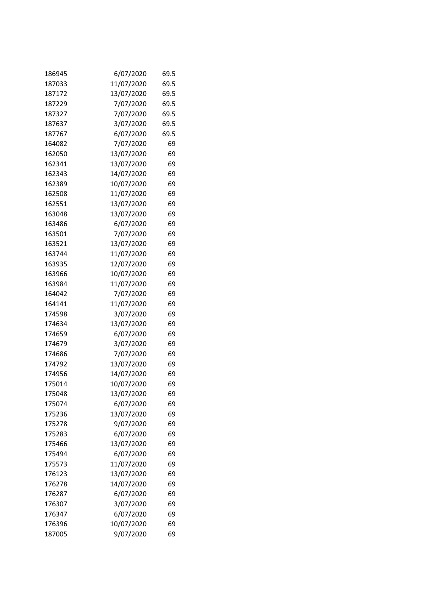| 186945 | 6/07/2020  | 69.5 |
|--------|------------|------|
| 187033 | 11/07/2020 | 69.5 |
| 187172 | 13/07/2020 | 69.5 |
| 187229 | 7/07/2020  | 69.5 |
| 187327 | 7/07/2020  | 69.5 |
| 187637 | 3/07/2020  | 69.5 |
| 187767 | 6/07/2020  | 69.5 |
| 164082 | 7/07/2020  | 69   |
| 162050 | 13/07/2020 | 69   |
| 162341 | 13/07/2020 | 69   |
| 162343 | 14/07/2020 | 69   |
| 162389 | 10/07/2020 | 69   |
| 162508 | 11/07/2020 | 69   |
| 162551 | 13/07/2020 | 69   |
| 163048 | 13/07/2020 | 69   |
| 163486 | 6/07/2020  | 69   |
| 163501 | 7/07/2020  | 69   |
| 163521 | 13/07/2020 | 69   |
| 163744 | 11/07/2020 | 69   |
| 163935 | 12/07/2020 | 69   |
| 163966 | 10/07/2020 | 69   |
| 163984 | 11/07/2020 | 69   |
| 164042 | 7/07/2020  | 69   |
| 164141 | 11/07/2020 | 69   |
| 174598 | 3/07/2020  | 69   |
| 174634 | 13/07/2020 | 69   |
| 174659 | 6/07/2020  | 69   |
| 174679 | 3/07/2020  | 69   |
| 174686 | 7/07/2020  | 69   |
| 174792 | 13/07/2020 | 69   |
| 174956 | 14/07/2020 | 69   |
| 175014 | 10/07/2020 | 69   |
| 175048 | 13/07/2020 | 69   |
| 175074 | 6/07/2020  | 69   |
| 175236 | 13/07/2020 | 69   |
| 175278 | 9/07/2020  | 69   |
| 175283 | 6/07/2020  | 69   |
| 175466 | 13/07/2020 | 69   |
| 175494 | 6/07/2020  | 69   |
| 175573 | 11/07/2020 | 69   |
| 176123 | 13/07/2020 | 69   |
| 176278 | 14/07/2020 | 69   |
| 176287 | 6/07/2020  | 69   |
| 176307 | 3/07/2020  | 69   |
| 176347 | 6/07/2020  | 69   |
| 176396 | 10/07/2020 | 69   |
| 187005 | 9/07/2020  | 69   |
|        |            |      |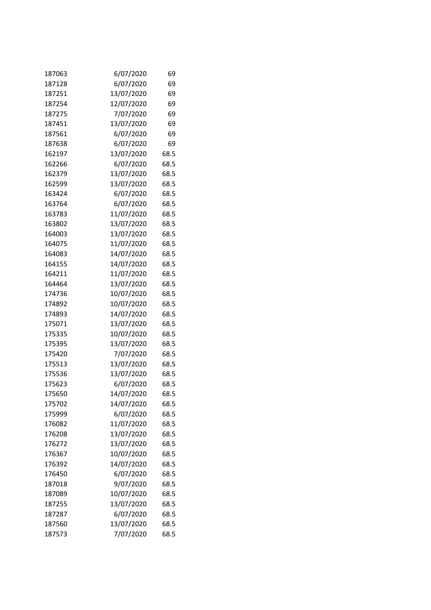| 187063 | 6/07/2020  | 69   |
|--------|------------|------|
| 187128 | 6/07/2020  | 69   |
| 187251 | 13/07/2020 | 69   |
| 187254 | 12/07/2020 | 69   |
| 187275 | 7/07/2020  | 69   |
| 187451 | 13/07/2020 | 69   |
| 187561 | 6/07/2020  | 69   |
| 187638 | 6/07/2020  | 69   |
| 162197 | 13/07/2020 | 68.5 |
| 162266 | 6/07/2020  | 68.5 |
| 162379 | 13/07/2020 | 68.5 |
| 162599 | 13/07/2020 | 68.5 |
| 163424 | 6/07/2020  | 68.5 |
| 163764 | 6/07/2020  | 68.5 |
| 163783 | 11/07/2020 | 68.5 |
| 163802 | 13/07/2020 | 68.5 |
| 164003 | 13/07/2020 | 68.5 |
| 164075 | 11/07/2020 | 68.5 |
| 164083 | 14/07/2020 | 68.5 |
| 164155 | 14/07/2020 | 68.5 |
| 164211 | 11/07/2020 | 68.5 |
| 164464 | 13/07/2020 | 68.5 |
| 174736 | 10/07/2020 | 68.5 |
| 174892 | 10/07/2020 | 68.5 |
| 174893 | 14/07/2020 | 68.5 |
| 175071 | 13/07/2020 | 68.5 |
| 175335 | 10/07/2020 | 68.5 |
| 175395 | 13/07/2020 | 68.5 |
| 175420 | 7/07/2020  | 68.5 |
| 175513 | 13/07/2020 | 68.5 |
| 175536 | 13/07/2020 | 68.5 |
| 175623 | 6/07/2020  | 68.5 |
| 175650 | 14/07/2020 | 68.5 |
| 175702 | 14/07/2020 | 68.5 |
| 175999 | 6/07/2020  | 68.5 |
| 176082 | 11/07/2020 | 68.5 |
| 176208 | 13/07/2020 | 68.5 |
| 176272 | 13/07/2020 | 68.5 |
| 176367 | 10/07/2020 | 68.5 |
| 176392 | 14/07/2020 | 68.5 |
| 176450 | 6/07/2020  | 68.5 |
| 187018 | 9/07/2020  | 68.5 |
| 187089 | 10/07/2020 | 68.5 |
| 187255 | 13/07/2020 | 68.5 |
| 187287 | 6/07/2020  | 68.5 |
| 187560 | 13/07/2020 | 68.5 |
| 187573 | 7/07/2020  | 68.5 |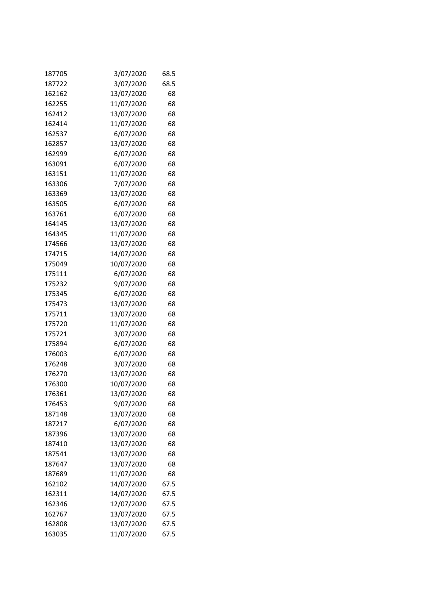| 187705 | 3/07/2020  | 68.5 |
|--------|------------|------|
| 187722 | 3/07/2020  | 68.5 |
| 162162 | 13/07/2020 | 68   |
| 162255 | 11/07/2020 | 68   |
| 162412 | 13/07/2020 | 68   |
| 162414 | 11/07/2020 | 68   |
| 162537 | 6/07/2020  | 68   |
| 162857 | 13/07/2020 | 68   |
| 162999 | 6/07/2020  | 68   |
| 163091 | 6/07/2020  | 68   |
| 163151 | 11/07/2020 | 68   |
| 163306 | 7/07/2020  | 68   |
| 163369 | 13/07/2020 | 68   |
| 163505 | 6/07/2020  | 68   |
| 163761 | 6/07/2020  | 68   |
| 164145 | 13/07/2020 | 68   |
| 164345 | 11/07/2020 | 68   |
| 174566 | 13/07/2020 | 68   |
| 174715 | 14/07/2020 | 68   |
| 175049 | 10/07/2020 | 68   |
| 175111 | 6/07/2020  | 68   |
| 175232 | 9/07/2020  | 68   |
| 175345 | 6/07/2020  | 68   |
| 175473 | 13/07/2020 | 68   |
| 175711 | 13/07/2020 | 68   |
| 175720 | 11/07/2020 | 68   |
| 175721 | 3/07/2020  | 68   |
| 175894 | 6/07/2020  | 68   |
| 176003 | 6/07/2020  | 68   |
| 176248 | 3/07/2020  | 68   |
| 176270 | 13/07/2020 | 68   |
| 176300 | 10/07/2020 | 68   |
| 176361 | 13/07/2020 | 68   |
| 176453 | 9/07/2020  | 68   |
| 187148 | 13/07/2020 | 68   |
| 187217 | 6/07/2020  | 68   |
| 187396 | 13/07/2020 | 68   |
| 187410 | 13/07/2020 | 68   |
| 187541 | 13/07/2020 | 68   |
| 187647 | 13/07/2020 | 68   |
| 187689 | 11/07/2020 | 68   |
| 162102 | 14/07/2020 | 67.5 |
| 162311 | 14/07/2020 | 67.5 |
| 162346 | 12/07/2020 | 67.5 |
| 162767 | 13/07/2020 | 67.5 |
| 162808 | 13/07/2020 | 67.5 |
| 163035 | 11/07/2020 | 67.5 |
|        |            |      |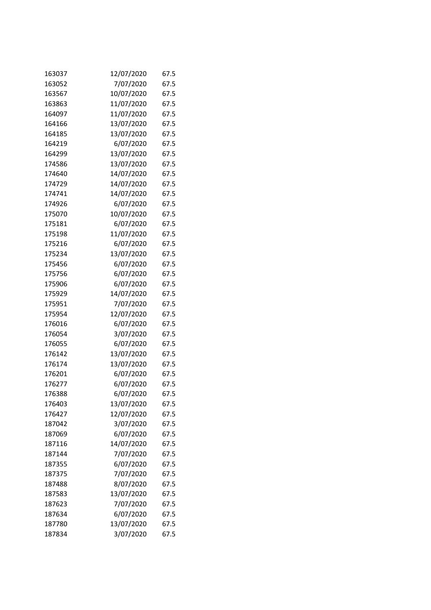| 163037 | 12/07/2020 | 67.5 |
|--------|------------|------|
| 163052 | 7/07/2020  | 67.5 |
| 163567 | 10/07/2020 | 67.5 |
| 163863 | 11/07/2020 | 67.5 |
| 164097 | 11/07/2020 | 67.5 |
| 164166 | 13/07/2020 | 67.5 |
| 164185 | 13/07/2020 | 67.5 |
| 164219 | 6/07/2020  | 67.5 |
| 164299 | 13/07/2020 | 67.5 |
| 174586 | 13/07/2020 | 67.5 |
| 174640 | 14/07/2020 | 67.5 |
| 174729 | 14/07/2020 | 67.5 |
| 174741 | 14/07/2020 | 67.5 |
| 174926 | 6/07/2020  | 67.5 |
| 175070 | 10/07/2020 | 67.5 |
| 175181 | 6/07/2020  | 67.5 |
| 175198 | 11/07/2020 | 67.5 |
| 175216 | 6/07/2020  | 67.5 |
| 175234 | 13/07/2020 | 67.5 |
| 175456 | 6/07/2020  | 67.5 |
| 175756 | 6/07/2020  | 67.5 |
| 175906 | 6/07/2020  | 67.5 |
| 175929 | 14/07/2020 | 67.5 |
| 175951 | 7/07/2020  | 67.5 |
| 175954 | 12/07/2020 | 67.5 |
| 176016 | 6/07/2020  | 67.5 |
| 176054 | 3/07/2020  | 67.5 |
| 176055 | 6/07/2020  | 67.5 |
| 176142 | 13/07/2020 | 67.5 |
| 176174 | 13/07/2020 | 67.5 |
| 176201 | 6/07/2020  | 67.5 |
| 176277 | 6/07/2020  | 67.5 |
| 176388 | 6/07/2020  | 67.5 |
| 176403 | 13/07/2020 | 67.5 |
| 176427 | 12/07/2020 | 67.5 |
| 187042 | 3/07/2020  | 67.5 |
| 187069 | 6/07/2020  | 67.5 |
| 187116 | 14/07/2020 | 67.5 |
| 187144 | 7/07/2020  | 67.5 |
| 187355 | 6/07/2020  | 67.5 |
| 187375 | 7/07/2020  | 67.5 |
| 187488 | 8/07/2020  | 67.5 |
| 187583 | 13/07/2020 | 67.5 |
| 187623 | 7/07/2020  | 67.5 |
| 187634 | 6/07/2020  | 67.5 |
| 187780 | 13/07/2020 | 67.5 |
| 187834 | 3/07/2020  | 67.5 |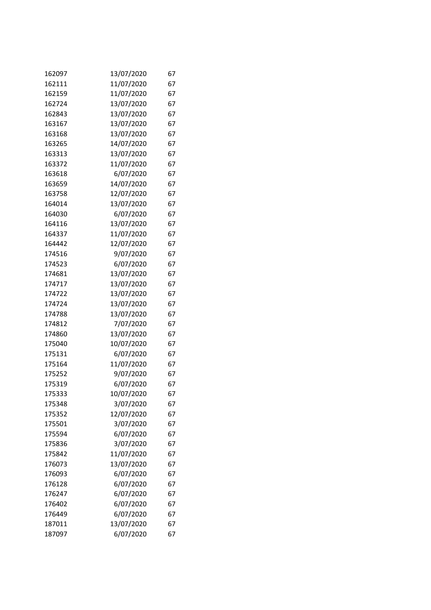| 162097 | 13/07/2020 | 67 |
|--------|------------|----|
| 162111 | 11/07/2020 | 67 |
| 162159 | 11/07/2020 | 67 |
| 162724 | 13/07/2020 | 67 |
| 162843 | 13/07/2020 | 67 |
| 163167 | 13/07/2020 | 67 |
| 163168 | 13/07/2020 | 67 |
| 163265 | 14/07/2020 | 67 |
| 163313 | 13/07/2020 | 67 |
| 163372 | 11/07/2020 | 67 |
| 163618 | 6/07/2020  | 67 |
| 163659 | 14/07/2020 | 67 |
| 163758 | 12/07/2020 | 67 |
| 164014 | 13/07/2020 | 67 |
| 164030 | 6/07/2020  | 67 |
| 164116 | 13/07/2020 | 67 |
| 164337 | 11/07/2020 | 67 |
| 164442 | 12/07/2020 | 67 |
| 174516 | 9/07/2020  | 67 |
| 174523 | 6/07/2020  | 67 |
| 174681 | 13/07/2020 | 67 |
| 174717 | 13/07/2020 | 67 |
| 174722 | 13/07/2020 | 67 |
| 174724 | 13/07/2020 | 67 |
| 174788 | 13/07/2020 | 67 |
| 174812 | 7/07/2020  | 67 |
| 174860 | 13/07/2020 | 67 |
| 175040 | 10/07/2020 | 67 |
| 175131 | 6/07/2020  | 67 |
| 175164 | 11/07/2020 | 67 |
| 175252 | 9/07/2020  | 67 |
| 175319 | 6/07/2020  | 67 |
| 175333 | 10/07/2020 | 67 |
| 175348 | 3/07/2020  | 67 |
| 175352 | 12/07/2020 | 67 |
| 175501 | 3/07/2020  | 67 |
| 175594 | 6/07/2020  | 67 |
| 175836 | 3/07/2020  | 67 |
| 175842 | 11/07/2020 | 67 |
| 176073 | 13/07/2020 | 67 |
| 176093 | 6/07/2020  | 67 |
| 176128 | 6/07/2020  | 67 |
| 176247 | 6/07/2020  | 67 |
| 176402 | 6/07/2020  | 67 |
| 176449 | 6/07/2020  | 67 |
| 187011 | 13/07/2020 | 67 |
| 187097 | 6/07/2020  | 67 |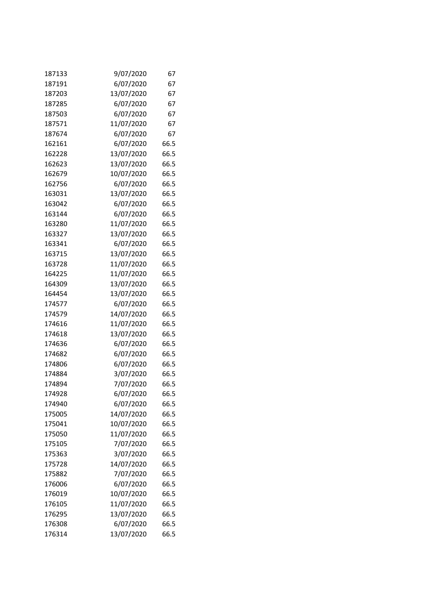| 187133 | 9/07/2020  | 67   |
|--------|------------|------|
| 187191 | 6/07/2020  | 67   |
| 187203 | 13/07/2020 | 67   |
| 187285 | 6/07/2020  | 67   |
| 187503 | 6/07/2020  | 67   |
| 187571 | 11/07/2020 | 67   |
| 187674 | 6/07/2020  | 67   |
| 162161 | 6/07/2020  | 66.5 |
| 162228 | 13/07/2020 | 66.5 |
| 162623 | 13/07/2020 | 66.5 |
| 162679 | 10/07/2020 | 66.5 |
| 162756 | 6/07/2020  | 66.5 |
| 163031 | 13/07/2020 | 66.5 |
| 163042 | 6/07/2020  | 66.5 |
| 163144 | 6/07/2020  | 66.5 |
| 163280 | 11/07/2020 | 66.5 |
| 163327 | 13/07/2020 | 66.5 |
| 163341 | 6/07/2020  | 66.5 |
| 163715 | 13/07/2020 | 66.5 |
| 163728 | 11/07/2020 | 66.5 |
| 164225 | 11/07/2020 | 66.5 |
| 164309 | 13/07/2020 | 66.5 |
| 164454 | 13/07/2020 | 66.5 |
| 174577 | 6/07/2020  | 66.5 |
| 174579 | 14/07/2020 | 66.5 |
| 174616 | 11/07/2020 | 66.5 |
| 174618 | 13/07/2020 | 66.5 |
| 174636 | 6/07/2020  | 66.5 |
| 174682 | 6/07/2020  | 66.5 |
| 174806 | 6/07/2020  | 66.5 |
| 174884 | 3/07/2020  | 66.5 |
| 174894 | 7/07/2020  | 66.5 |
| 174928 | 6/07/2020  | 66.5 |
| 174940 | 6/07/2020  | 66.5 |
| 175005 | 14/07/2020 | 66.5 |
| 175041 | 10/07/2020 | 66.5 |
| 175050 | 11/07/2020 | 66.5 |
| 175105 | 7/07/2020  | 66.5 |
| 175363 | 3/07/2020  | 66.5 |
| 175728 | 14/07/2020 | 66.5 |
| 175882 | 7/07/2020  | 66.5 |
| 176006 | 6/07/2020  | 66.5 |
| 176019 | 10/07/2020 | 66.5 |
| 176105 | 11/07/2020 | 66.5 |
| 176295 | 13/07/2020 | 66.5 |
| 176308 | 6/07/2020  | 66.5 |
| 176314 | 13/07/2020 | 66.5 |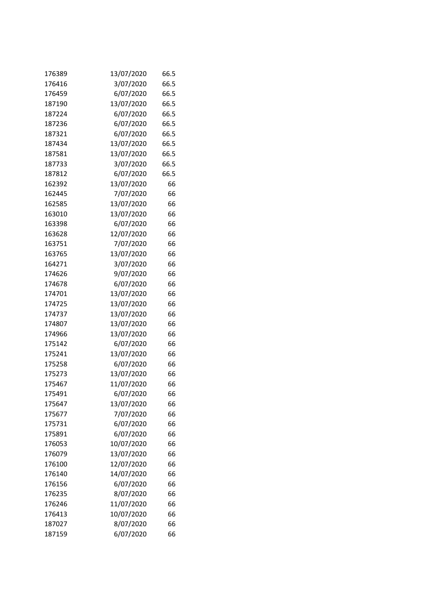| 176389 | 13/07/2020 | 66.5 |
|--------|------------|------|
| 176416 | 3/07/2020  | 66.5 |
| 176459 | 6/07/2020  | 66.5 |
| 187190 | 13/07/2020 | 66.5 |
| 187224 | 6/07/2020  | 66.5 |
| 187236 | 6/07/2020  | 66.5 |
| 187321 | 6/07/2020  | 66.5 |
| 187434 | 13/07/2020 | 66.5 |
| 187581 | 13/07/2020 | 66.5 |
| 187733 | 3/07/2020  | 66.5 |
| 187812 | 6/07/2020  | 66.5 |
| 162392 | 13/07/2020 | 66   |
| 162445 | 7/07/2020  | 66   |
| 162585 | 13/07/2020 | 66   |
| 163010 | 13/07/2020 | 66   |
| 163398 | 6/07/2020  | 66   |
| 163628 | 12/07/2020 | 66   |
| 163751 | 7/07/2020  | 66   |
| 163765 | 13/07/2020 | 66   |
| 164271 | 3/07/2020  | 66   |
| 174626 | 9/07/2020  | 66   |
| 174678 | 6/07/2020  | 66   |
| 174701 | 13/07/2020 | 66   |
| 174725 | 13/07/2020 | 66   |
| 174737 | 13/07/2020 | 66   |
| 174807 | 13/07/2020 | 66   |
| 174966 | 13/07/2020 | 66   |
| 175142 | 6/07/2020  | 66   |
| 175241 | 13/07/2020 | 66   |
| 175258 | 6/07/2020  | 66   |
| 175273 | 13/07/2020 | 66   |
| 175467 | 11/07/2020 | 66   |
| 175491 | 6/07/2020  | 66   |
| 175647 | 13/07/2020 | 66   |
| 175677 | 7/07/2020  | 66   |
| 175731 | 6/07/2020  | 66   |
| 175891 | 6/07/2020  | 66   |
| 176053 | 10/07/2020 | 66   |
| 176079 | 13/07/2020 | 66   |
| 176100 | 12/07/2020 | 66   |
| 176140 | 14/07/2020 | 66   |
| 176156 | 6/07/2020  | 66   |
| 176235 | 8/07/2020  | 66   |
| 176246 | 11/07/2020 | 66   |
| 176413 | 10/07/2020 | 66   |
| 187027 | 8/07/2020  | 66   |
| 187159 | 6/07/2020  | 66   |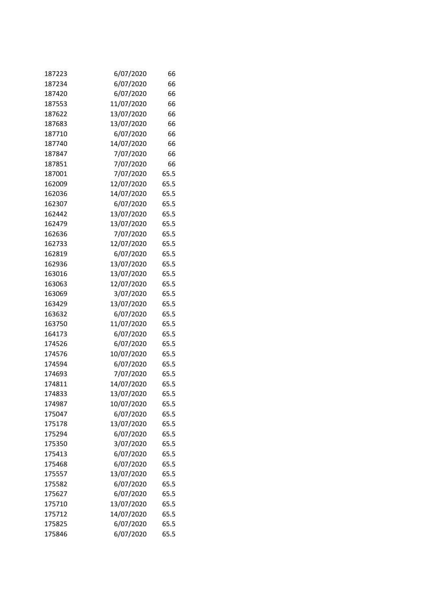| 187223 | 6/07/2020  | 66   |
|--------|------------|------|
| 187234 | 6/07/2020  | 66   |
| 187420 | 6/07/2020  | 66   |
| 187553 | 11/07/2020 | 66   |
| 187622 | 13/07/2020 | 66   |
| 187683 | 13/07/2020 | 66   |
| 187710 | 6/07/2020  | 66   |
| 187740 | 14/07/2020 | 66   |
| 187847 | 7/07/2020  | 66   |
| 187851 | 7/07/2020  | 66   |
| 187001 | 7/07/2020  | 65.5 |
| 162009 | 12/07/2020 | 65.5 |
| 162036 | 14/07/2020 | 65.5 |
| 162307 | 6/07/2020  | 65.5 |
| 162442 | 13/07/2020 | 65.5 |
| 162479 | 13/07/2020 | 65.5 |
| 162636 | 7/07/2020  | 65.5 |
| 162733 | 12/07/2020 | 65.5 |
| 162819 | 6/07/2020  | 65.5 |
| 162936 | 13/07/2020 | 65.5 |
| 163016 | 13/07/2020 | 65.5 |
| 163063 | 12/07/2020 | 65.5 |
| 163069 | 3/07/2020  | 65.5 |
| 163429 | 13/07/2020 | 65.5 |
| 163632 | 6/07/2020  | 65.5 |
| 163750 | 11/07/2020 | 65.5 |
| 164173 | 6/07/2020  | 65.5 |
| 174526 | 6/07/2020  | 65.5 |
| 174576 | 10/07/2020 | 65.5 |
| 174594 | 6/07/2020  | 65.5 |
| 174693 | 7/07/2020  | 65.5 |
| 174811 | 14/07/2020 | 65.5 |
| 174833 | 13/07/2020 | 65.5 |
| 174987 | 10/07/2020 | 65.5 |
| 175047 | 6/07/2020  | 65.5 |
| 175178 | 13/07/2020 | 65.5 |
| 175294 | 6/07/2020  | 65.5 |
| 175350 | 3/07/2020  | 65.5 |
| 175413 | 6/07/2020  | 65.5 |
| 175468 | 6/07/2020  | 65.5 |
| 175557 | 13/07/2020 | 65.5 |
| 175582 | 6/07/2020  | 65.5 |
| 175627 | 6/07/2020  | 65.5 |
| 175710 | 13/07/2020 | 65.5 |
| 175712 | 14/07/2020 | 65.5 |
| 175825 | 6/07/2020  | 65.5 |
| 175846 | 6/07/2020  | 65.5 |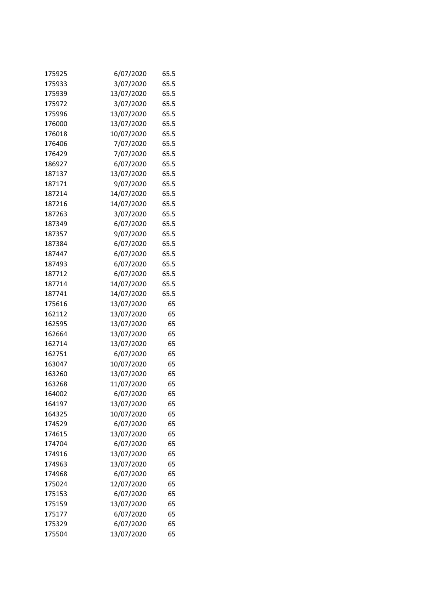| 175925 | 6/07/2020  | 65.5 |
|--------|------------|------|
| 175933 | 3/07/2020  | 65.5 |
| 175939 | 13/07/2020 | 65.5 |
| 175972 | 3/07/2020  | 65.5 |
| 175996 | 13/07/2020 | 65.5 |
| 176000 | 13/07/2020 | 65.5 |
| 176018 | 10/07/2020 | 65.5 |
| 176406 | 7/07/2020  | 65.5 |
| 176429 | 7/07/2020  | 65.5 |
| 186927 | 6/07/2020  | 65.5 |
| 187137 | 13/07/2020 | 65.5 |
| 187171 | 9/07/2020  | 65.5 |
| 187214 | 14/07/2020 | 65.5 |
| 187216 | 14/07/2020 | 65.5 |
| 187263 | 3/07/2020  | 65.5 |
| 187349 | 6/07/2020  | 65.5 |
| 187357 | 9/07/2020  | 65.5 |
| 187384 | 6/07/2020  | 65.5 |
| 187447 | 6/07/2020  | 65.5 |
| 187493 | 6/07/2020  | 65.5 |
| 187712 | 6/07/2020  | 65.5 |
| 187714 | 14/07/2020 | 65.5 |
| 187741 | 14/07/2020 | 65.5 |
| 175616 | 13/07/2020 | 65   |
| 162112 | 13/07/2020 | 65   |
| 162595 | 13/07/2020 | 65   |
| 162664 | 13/07/2020 | 65   |
| 162714 | 13/07/2020 | 65   |
| 162751 | 6/07/2020  | 65   |
| 163047 | 10/07/2020 | 65   |
| 163260 | 13/07/2020 | 65   |
| 163268 | 11/07/2020 | 65   |
| 164002 | 6/07/2020  | 65   |
| 164197 | 13/07/2020 | 65   |
| 164325 | 10/07/2020 | 65   |
| 174529 | 6/07/2020  | 65   |
| 174615 | 13/07/2020 | 65   |
| 174704 | 6/07/2020  | 65   |
| 174916 | 13/07/2020 | 65   |
| 174963 | 13/07/2020 | 65   |
| 174968 | 6/07/2020  | 65   |
| 175024 | 12/07/2020 | 65   |
| 175153 | 6/07/2020  | 65   |
| 175159 | 13/07/2020 | 65   |
| 175177 | 6/07/2020  | 65   |
| 175329 | 6/07/2020  | 65   |
| 175504 | 13/07/2020 | 65   |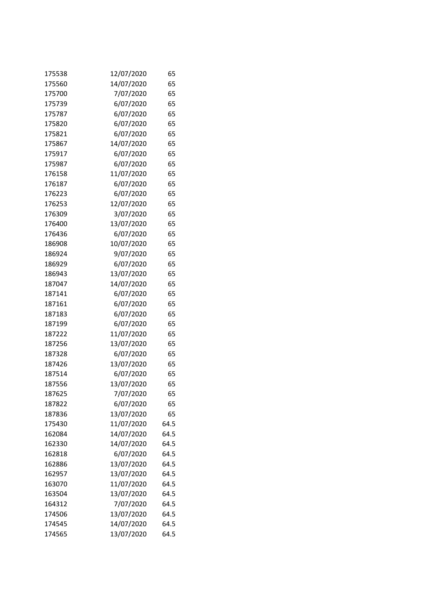| 175538 | 12/07/2020 | 65   |
|--------|------------|------|
| 175560 | 14/07/2020 | 65   |
| 175700 | 7/07/2020  | 65   |
| 175739 | 6/07/2020  | 65   |
| 175787 | 6/07/2020  | 65   |
| 175820 | 6/07/2020  | 65   |
| 175821 | 6/07/2020  | 65   |
| 175867 | 14/07/2020 | 65   |
| 175917 | 6/07/2020  | 65   |
| 175987 | 6/07/2020  | 65   |
| 176158 | 11/07/2020 | 65   |
| 176187 | 6/07/2020  | 65   |
| 176223 | 6/07/2020  | 65   |
| 176253 | 12/07/2020 | 65   |
| 176309 | 3/07/2020  | 65   |
| 176400 | 13/07/2020 | 65   |
| 176436 | 6/07/2020  | 65   |
| 186908 | 10/07/2020 | 65   |
| 186924 | 9/07/2020  | 65   |
| 186929 | 6/07/2020  | 65   |
| 186943 | 13/07/2020 | 65   |
| 187047 | 14/07/2020 | 65   |
| 187141 | 6/07/2020  | 65   |
| 187161 | 6/07/2020  | 65   |
| 187183 | 6/07/2020  | 65   |
| 187199 | 6/07/2020  | 65   |
| 187222 | 11/07/2020 | 65   |
| 187256 | 13/07/2020 | 65   |
| 187328 | 6/07/2020  | 65   |
| 187426 | 13/07/2020 | 65   |
| 187514 | 6/07/2020  | 65   |
| 187556 | 13/07/2020 | 65   |
| 187625 | 7/07/2020  | 65   |
| 187822 | 6/07/2020  | 65   |
| 187836 | 13/07/2020 | 65   |
| 175430 | 11/07/2020 | 64.5 |
| 162084 | 14/07/2020 | 64.5 |
| 162330 | 14/07/2020 | 64.5 |
| 162818 | 6/07/2020  | 64.5 |
| 162886 | 13/07/2020 | 64.5 |
| 162957 | 13/07/2020 | 64.5 |
| 163070 | 11/07/2020 | 64.5 |
| 163504 | 13/07/2020 | 64.5 |
| 164312 | 7/07/2020  | 64.5 |
| 174506 | 13/07/2020 | 64.5 |
| 174545 | 14/07/2020 | 64.5 |
| 174565 | 13/07/2020 | 64.5 |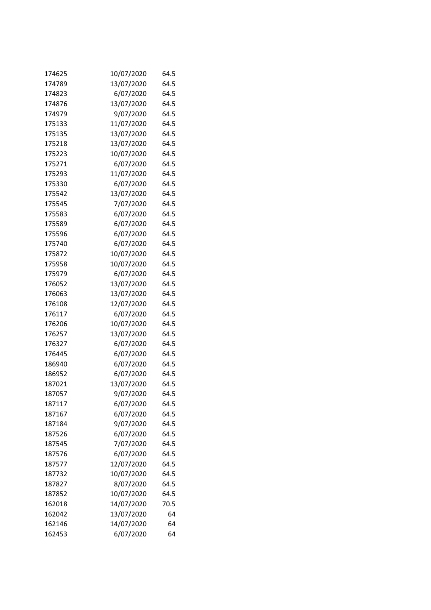| 174625 | 10/07/2020 | 64.5 |
|--------|------------|------|
| 174789 | 13/07/2020 | 64.5 |
| 174823 | 6/07/2020  | 64.5 |
| 174876 | 13/07/2020 | 64.5 |
| 174979 | 9/07/2020  | 64.5 |
| 175133 | 11/07/2020 | 64.5 |
| 175135 | 13/07/2020 | 64.5 |
| 175218 | 13/07/2020 | 64.5 |
| 175223 | 10/07/2020 | 64.5 |
| 175271 | 6/07/2020  | 64.5 |
| 175293 | 11/07/2020 | 64.5 |
| 175330 | 6/07/2020  | 64.5 |
| 175542 | 13/07/2020 | 64.5 |
| 175545 | 7/07/2020  | 64.5 |
| 175583 | 6/07/2020  | 64.5 |
| 175589 | 6/07/2020  | 64.5 |
| 175596 | 6/07/2020  | 64.5 |
| 175740 | 6/07/2020  | 64.5 |
| 175872 | 10/07/2020 | 64.5 |
| 175958 | 10/07/2020 | 64.5 |
| 175979 | 6/07/2020  | 64.5 |
| 176052 | 13/07/2020 | 64.5 |
| 176063 | 13/07/2020 | 64.5 |
| 176108 | 12/07/2020 | 64.5 |
| 176117 | 6/07/2020  | 64.5 |
| 176206 | 10/07/2020 | 64.5 |
| 176257 | 13/07/2020 | 64.5 |
| 176327 | 6/07/2020  | 64.5 |
| 176445 | 6/07/2020  | 64.5 |
| 186940 | 6/07/2020  | 64.5 |
| 186952 | 6/07/2020  | 64.5 |
| 187021 | 13/07/2020 | 64.5 |
| 187057 | 9/07/2020  | 64.5 |
| 187117 | 6/07/2020  | 64.5 |
| 187167 | 6/07/2020  | 64.5 |
| 187184 | 9/07/2020  | 64.5 |
| 187526 | 6/07/2020  | 64.5 |
| 187545 | 7/07/2020  | 64.5 |
| 187576 | 6/07/2020  | 64.5 |
| 187577 | 12/07/2020 | 64.5 |
| 187732 | 10/07/2020 | 64.5 |
| 187827 | 8/07/2020  | 64.5 |
| 187852 | 10/07/2020 | 64.5 |
| 162018 | 14/07/2020 | 70.5 |
| 162042 | 13/07/2020 | 64   |
| 162146 | 14/07/2020 | 64   |
| 162453 | 6/07/2020  | 64   |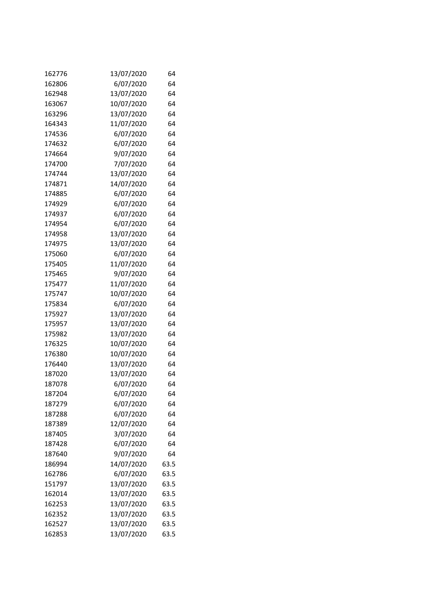| 162776 | 13/07/2020 | 64   |
|--------|------------|------|
| 162806 | 6/07/2020  | 64   |
| 162948 | 13/07/2020 | 64   |
| 163067 | 10/07/2020 | 64   |
| 163296 | 13/07/2020 | 64   |
| 164343 | 11/07/2020 | 64   |
| 174536 | 6/07/2020  | 64   |
| 174632 | 6/07/2020  | 64   |
| 174664 | 9/07/2020  | 64   |
| 174700 | 7/07/2020  | 64   |
| 174744 | 13/07/2020 | 64   |
| 174871 | 14/07/2020 | 64   |
| 174885 | 6/07/2020  | 64   |
| 174929 | 6/07/2020  | 64   |
| 174937 | 6/07/2020  | 64   |
| 174954 | 6/07/2020  | 64   |
| 174958 | 13/07/2020 | 64   |
| 174975 | 13/07/2020 | 64   |
| 175060 | 6/07/2020  | 64   |
| 175405 | 11/07/2020 | 64   |
| 175465 | 9/07/2020  | 64   |
| 175477 | 11/07/2020 | 64   |
| 175747 | 10/07/2020 | 64   |
| 175834 | 6/07/2020  | 64   |
| 175927 | 13/07/2020 | 64   |
| 175957 | 13/07/2020 | 64   |
| 175982 | 13/07/2020 | 64   |
| 176325 | 10/07/2020 | 64   |
| 176380 | 10/07/2020 | 64   |
| 176440 | 13/07/2020 | 64   |
| 187020 | 13/07/2020 | 64   |
| 187078 | 6/07/2020  | 64   |
| 187204 | 6/07/2020  | 64   |
| 187279 | 6/07/2020  | 64   |
| 187288 | 6/07/2020  | 64   |
| 187389 | 12/07/2020 | 64   |
| 187405 | 3/07/2020  | 64   |
| 187428 | 6/07/2020  | 64   |
| 187640 | 9/07/2020  | 64   |
| 186994 | 14/07/2020 | 63.5 |
| 162786 | 6/07/2020  | 63.5 |
| 151797 | 13/07/2020 | 63.5 |
| 162014 | 13/07/2020 | 63.5 |
| 162253 | 13/07/2020 | 63.5 |
| 162352 | 13/07/2020 | 63.5 |
| 162527 | 13/07/2020 | 63.5 |
| 162853 | 13/07/2020 | 63.5 |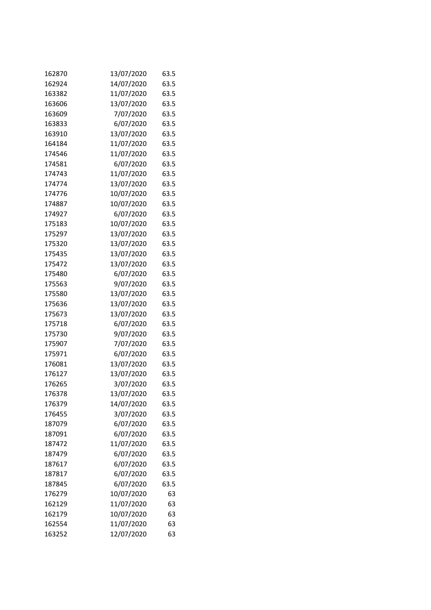| 162870 | 13/07/2020 | 63.5 |
|--------|------------|------|
| 162924 | 14/07/2020 | 63.5 |
| 163382 | 11/07/2020 | 63.5 |
| 163606 | 13/07/2020 | 63.5 |
| 163609 | 7/07/2020  | 63.5 |
| 163833 | 6/07/2020  | 63.5 |
| 163910 | 13/07/2020 | 63.5 |
| 164184 | 11/07/2020 | 63.5 |
| 174546 | 11/07/2020 | 63.5 |
| 174581 | 6/07/2020  | 63.5 |
| 174743 | 11/07/2020 | 63.5 |
| 174774 | 13/07/2020 | 63.5 |
| 174776 | 10/07/2020 | 63.5 |
| 174887 | 10/07/2020 | 63.5 |
| 174927 | 6/07/2020  | 63.5 |
| 175183 | 10/07/2020 | 63.5 |
| 175297 | 13/07/2020 | 63.5 |
| 175320 | 13/07/2020 | 63.5 |
| 175435 | 13/07/2020 | 63.5 |
| 175472 | 13/07/2020 | 63.5 |
| 175480 | 6/07/2020  | 63.5 |
| 175563 | 9/07/2020  | 63.5 |
| 175580 | 13/07/2020 | 63.5 |
| 175636 | 13/07/2020 | 63.5 |
| 175673 | 13/07/2020 | 63.5 |
| 175718 | 6/07/2020  | 63.5 |
| 175730 | 9/07/2020  | 63.5 |
| 175907 | 7/07/2020  | 63.5 |
| 175971 | 6/07/2020  | 63.5 |
| 176081 | 13/07/2020 | 63.5 |
| 176127 | 13/07/2020 | 63.5 |
| 176265 | 3/07/2020  | 63.5 |
| 176378 | 13/07/2020 | 63.5 |
| 176379 | 14/07/2020 | 63.5 |
| 176455 | 3/07/2020  | 63.5 |
| 187079 | 6/07/2020  | 63.5 |
| 187091 | 6/07/2020  | 63.5 |
| 187472 | 11/07/2020 | 63.5 |
| 187479 | 6/07/2020  | 63.5 |
| 187617 | 6/07/2020  | 63.5 |
| 187817 | 6/07/2020  | 63.5 |
| 187845 | 6/07/2020  | 63.5 |
| 176279 | 10/07/2020 | 63   |
| 162129 | 11/07/2020 | 63   |
| 162179 | 10/07/2020 | 63   |
| 162554 | 11/07/2020 | 63   |
| 163252 | 12/07/2020 | 63   |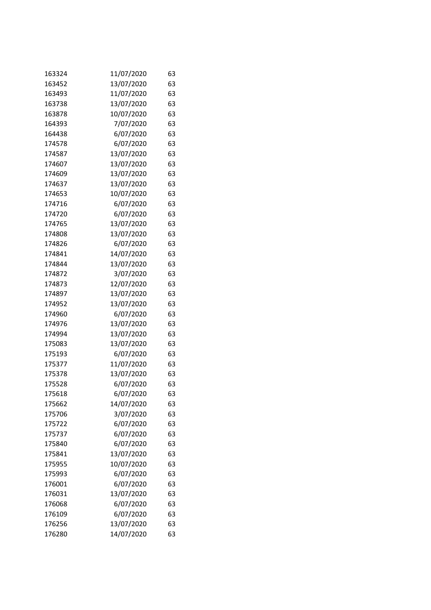| 163324 | 11/07/2020 | 63 |
|--------|------------|----|
| 163452 | 13/07/2020 | 63 |
| 163493 | 11/07/2020 | 63 |
| 163738 | 13/07/2020 | 63 |
| 163878 | 10/07/2020 | 63 |
| 164393 | 7/07/2020  | 63 |
| 164438 | 6/07/2020  | 63 |
| 174578 | 6/07/2020  | 63 |
| 174587 | 13/07/2020 | 63 |
| 174607 | 13/07/2020 | 63 |
| 174609 | 13/07/2020 | 63 |
| 174637 | 13/07/2020 | 63 |
| 174653 | 10/07/2020 | 63 |
| 174716 | 6/07/2020  | 63 |
| 174720 | 6/07/2020  | 63 |
| 174765 | 13/07/2020 | 63 |
| 174808 | 13/07/2020 | 63 |
| 174826 | 6/07/2020  | 63 |
| 174841 | 14/07/2020 | 63 |
| 174844 | 13/07/2020 | 63 |
| 174872 | 3/07/2020  | 63 |
| 174873 | 12/07/2020 | 63 |
| 174897 | 13/07/2020 | 63 |
| 174952 | 13/07/2020 | 63 |
| 174960 | 6/07/2020  | 63 |
| 174976 | 13/07/2020 | 63 |
| 174994 | 13/07/2020 | 63 |
| 175083 | 13/07/2020 | 63 |
| 175193 | 6/07/2020  | 63 |
| 175377 | 11/07/2020 | 63 |
| 175378 | 13/07/2020 | 63 |
| 175528 | 6/07/2020  | 63 |
| 175618 | 6/07/2020  | 63 |
| 175662 | 14/07/2020 | 63 |
| 175706 | 3/07/2020  | 63 |
| 175722 | 6/07/2020  | 63 |
| 175737 | 6/07/2020  | 63 |
| 175840 | 6/07/2020  | 63 |
| 175841 | 13/07/2020 | 63 |
| 175955 | 10/07/2020 | 63 |
| 175993 | 6/07/2020  | 63 |
| 176001 | 6/07/2020  | 63 |
| 176031 | 13/07/2020 | 63 |
| 176068 | 6/07/2020  | 63 |
| 176109 | 6/07/2020  | 63 |
| 176256 | 13/07/2020 | 63 |
| 176280 | 14/07/2020 | 63 |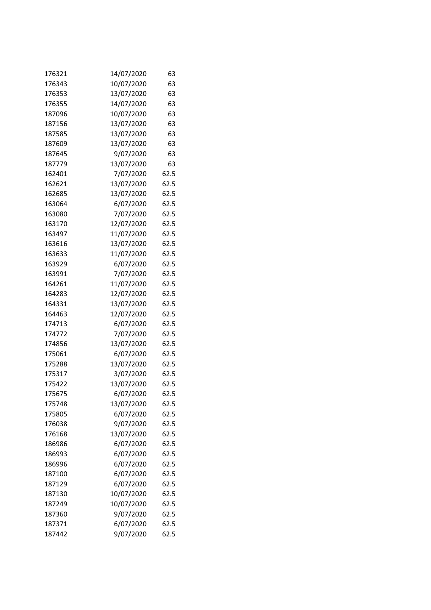| 176321 | 14/07/2020 | 63   |
|--------|------------|------|
| 176343 | 10/07/2020 | 63   |
| 176353 | 13/07/2020 | 63   |
| 176355 | 14/07/2020 | 63   |
| 187096 | 10/07/2020 | 63   |
| 187156 | 13/07/2020 | 63   |
| 187585 | 13/07/2020 | 63   |
| 187609 | 13/07/2020 | 63   |
| 187645 | 9/07/2020  | 63   |
| 187779 | 13/07/2020 | 63   |
| 162401 | 7/07/2020  | 62.5 |
| 162621 | 13/07/2020 | 62.5 |
| 162685 | 13/07/2020 | 62.5 |
| 163064 | 6/07/2020  | 62.5 |
| 163080 | 7/07/2020  | 62.5 |
| 163170 | 12/07/2020 | 62.5 |
| 163497 | 11/07/2020 | 62.5 |
| 163616 | 13/07/2020 | 62.5 |
| 163633 | 11/07/2020 | 62.5 |
| 163929 | 6/07/2020  | 62.5 |
| 163991 | 7/07/2020  | 62.5 |
| 164261 | 11/07/2020 | 62.5 |
| 164283 | 12/07/2020 | 62.5 |
| 164331 | 13/07/2020 | 62.5 |
| 164463 | 12/07/2020 | 62.5 |
| 174713 | 6/07/2020  | 62.5 |
| 174772 | 7/07/2020  | 62.5 |
| 174856 | 13/07/2020 | 62.5 |
| 175061 | 6/07/2020  | 62.5 |
| 175288 | 13/07/2020 | 62.5 |
| 175317 | 3/07/2020  | 62.5 |
| 175422 | 13/07/2020 | 62.5 |
| 175675 | 6/07/2020  | 62.5 |
| 175748 | 13/07/2020 | 62.5 |
| 175805 | 6/07/2020  | 62.5 |
| 176038 | 9/07/2020  | 62.5 |
| 176168 | 13/07/2020 | 62.5 |
| 186986 | 6/07/2020  | 62.5 |
| 186993 | 6/07/2020  | 62.5 |
| 186996 | 6/07/2020  | 62.5 |
| 187100 | 6/07/2020  | 62.5 |
| 187129 | 6/07/2020  | 62.5 |
| 187130 | 10/07/2020 | 62.5 |
| 187249 | 10/07/2020 | 62.5 |
| 187360 | 9/07/2020  | 62.5 |
| 187371 | 6/07/2020  | 62.5 |
| 187442 | 9/07/2020  | 62.5 |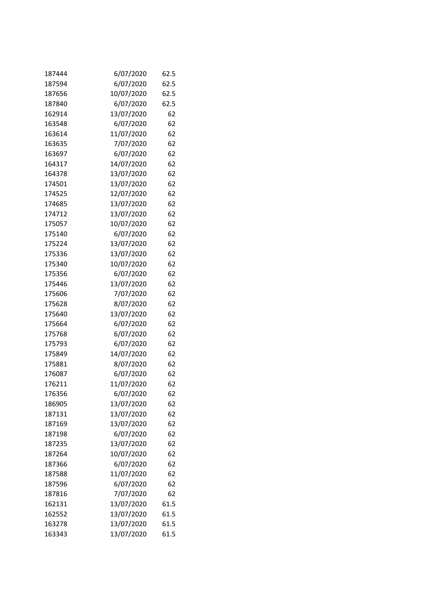| 187444 | 6/07/2020  | 62.5 |
|--------|------------|------|
| 187594 | 6/07/2020  | 62.5 |
| 187656 | 10/07/2020 | 62.5 |
| 187840 | 6/07/2020  | 62.5 |
| 162914 | 13/07/2020 | 62   |
| 163548 | 6/07/2020  | 62   |
| 163614 | 11/07/2020 | 62   |
| 163635 | 7/07/2020  | 62   |
| 163697 | 6/07/2020  | 62   |
| 164317 | 14/07/2020 | 62   |
| 164378 | 13/07/2020 | 62   |
| 174501 | 13/07/2020 | 62   |
| 174525 | 12/07/2020 | 62   |
| 174685 | 13/07/2020 | 62   |
| 174712 | 13/07/2020 | 62   |
| 175057 | 10/07/2020 | 62   |
| 175140 | 6/07/2020  | 62   |
| 175224 | 13/07/2020 | 62   |
| 175336 | 13/07/2020 | 62   |
| 175340 | 10/07/2020 | 62   |
| 175356 | 6/07/2020  | 62   |
| 175446 | 13/07/2020 | 62   |
| 175606 | 7/07/2020  | 62   |
| 175628 | 8/07/2020  | 62   |
| 175640 | 13/07/2020 | 62   |
| 175664 | 6/07/2020  | 62   |
| 175768 | 6/07/2020  | 62   |
| 175793 | 6/07/2020  | 62   |
| 175849 | 14/07/2020 | 62   |
| 175881 | 8/07/2020  | 62   |
| 176087 | 6/07/2020  | 62   |
| 176211 | 11/07/2020 | 62   |
| 176356 | 6/07/2020  | 62   |
| 186905 | 13/07/2020 | 62   |
| 187131 | 13/07/2020 | 62   |
| 187169 | 13/07/2020 | 62   |
| 187198 | 6/07/2020  | 62   |
| 187235 | 13/07/2020 | 62   |
| 187264 | 10/07/2020 | 62   |
| 187366 | 6/07/2020  | 62   |
| 187588 | 11/07/2020 | 62   |
| 187596 | 6/07/2020  | 62   |
| 187816 | 7/07/2020  | 62   |
| 162131 | 13/07/2020 | 61.5 |
| 162552 | 13/07/2020 | 61.5 |
| 163278 | 13/07/2020 | 61.5 |
| 163343 | 13/07/2020 | 61.5 |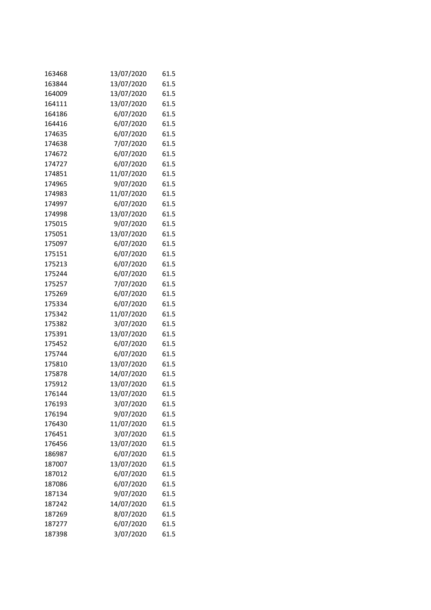| 163468 | 13/07/2020 | 61.5 |
|--------|------------|------|
| 163844 | 13/07/2020 | 61.5 |
| 164009 | 13/07/2020 | 61.5 |
| 164111 | 13/07/2020 | 61.5 |
| 164186 | 6/07/2020  | 61.5 |
| 164416 | 6/07/2020  | 61.5 |
| 174635 | 6/07/2020  | 61.5 |
| 174638 | 7/07/2020  | 61.5 |
| 174672 | 6/07/2020  | 61.5 |
| 174727 | 6/07/2020  | 61.5 |
| 174851 | 11/07/2020 | 61.5 |
| 174965 | 9/07/2020  | 61.5 |
| 174983 | 11/07/2020 | 61.5 |
| 174997 | 6/07/2020  | 61.5 |
| 174998 | 13/07/2020 | 61.5 |
| 175015 | 9/07/2020  | 61.5 |
| 175051 | 13/07/2020 | 61.5 |
| 175097 | 6/07/2020  | 61.5 |
| 175151 | 6/07/2020  | 61.5 |
| 175213 | 6/07/2020  | 61.5 |
| 175244 | 6/07/2020  | 61.5 |
| 175257 | 7/07/2020  | 61.5 |
| 175269 | 6/07/2020  | 61.5 |
| 175334 | 6/07/2020  | 61.5 |
| 175342 | 11/07/2020 | 61.5 |
| 175382 | 3/07/2020  | 61.5 |
| 175391 | 13/07/2020 | 61.5 |
| 175452 | 6/07/2020  | 61.5 |
| 175744 | 6/07/2020  | 61.5 |
| 175810 | 13/07/2020 | 61.5 |
| 175878 | 14/07/2020 | 61.5 |
| 175912 | 13/07/2020 | 61.5 |
| 176144 | 13/07/2020 | 61.5 |
| 176193 | 3/07/2020  | 61.5 |
| 176194 | 9/07/2020  | 61.5 |
| 176430 | 11/07/2020 | 61.5 |
| 176451 | 3/07/2020  | 61.5 |
| 176456 | 13/07/2020 | 61.5 |
| 186987 | 6/07/2020  | 61.5 |
| 187007 | 13/07/2020 | 61.5 |
| 187012 | 6/07/2020  | 61.5 |
| 187086 | 6/07/2020  | 61.5 |
| 187134 | 9/07/2020  | 61.5 |
| 187242 | 14/07/2020 | 61.5 |
| 187269 | 8/07/2020  | 61.5 |
| 187277 | 6/07/2020  | 61.5 |
| 187398 | 3/07/2020  | 61.5 |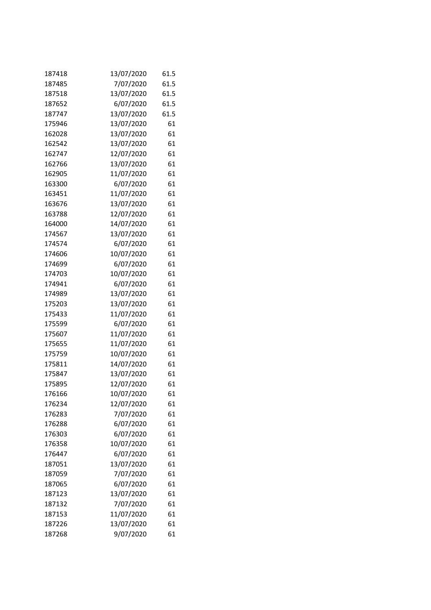| 187418 | 13/07/2020 | 61.5 |
|--------|------------|------|
| 187485 | 7/07/2020  | 61.5 |
| 187518 | 13/07/2020 | 61.5 |
| 187652 | 6/07/2020  | 61.5 |
| 187747 | 13/07/2020 | 61.5 |
| 175946 | 13/07/2020 | 61   |
| 162028 | 13/07/2020 | 61   |
| 162542 | 13/07/2020 | 61   |
| 162747 | 12/07/2020 | 61   |
| 162766 | 13/07/2020 | 61   |
| 162905 | 11/07/2020 | 61   |
| 163300 | 6/07/2020  | 61   |
| 163451 | 11/07/2020 | 61   |
| 163676 | 13/07/2020 | 61   |
| 163788 | 12/07/2020 | 61   |
| 164000 | 14/07/2020 | 61   |
| 174567 | 13/07/2020 | 61   |
| 174574 | 6/07/2020  | 61   |
| 174606 | 10/07/2020 | 61   |
| 174699 | 6/07/2020  | 61   |
| 174703 | 10/07/2020 | 61   |
| 174941 | 6/07/2020  | 61   |
| 174989 | 13/07/2020 | 61   |
| 175203 | 13/07/2020 | 61   |
| 175433 | 11/07/2020 | 61   |
| 175599 | 6/07/2020  | 61   |
| 175607 | 11/07/2020 | 61   |
| 175655 | 11/07/2020 | 61   |
| 175759 | 10/07/2020 | 61   |
| 175811 | 14/07/2020 | 61   |
| 175847 | 13/07/2020 | 61   |
| 175895 | 12/07/2020 | 61   |
| 176166 | 10/07/2020 | 61   |
| 176234 | 12/07/2020 | 61   |
| 176283 | 7/07/2020  | 61   |
| 176288 | 6/07/2020  | 61   |
| 176303 | 6/07/2020  | 61   |
| 176358 | 10/07/2020 | 61   |
| 176447 | 6/07/2020  | 61   |
| 187051 | 13/07/2020 | 61   |
| 187059 | 7/07/2020  | 61   |
| 187065 | 6/07/2020  | 61   |
| 187123 | 13/07/2020 | 61   |
| 187132 | 7/07/2020  | 61   |
| 187153 | 11/07/2020 | 61   |
| 187226 | 13/07/2020 | 61   |
| 187268 | 9/07/2020  | 61   |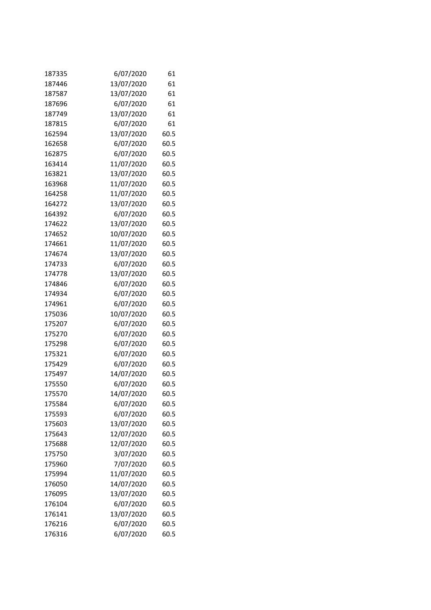| 187335 | 6/07/2020  | 61   |
|--------|------------|------|
| 187446 | 13/07/2020 | 61   |
| 187587 | 13/07/2020 | 61   |
| 187696 | 6/07/2020  | 61   |
| 187749 | 13/07/2020 | 61   |
| 187815 | 6/07/2020  | 61   |
| 162594 | 13/07/2020 | 60.5 |
| 162658 | 6/07/2020  | 60.5 |
| 162875 | 6/07/2020  | 60.5 |
| 163414 | 11/07/2020 | 60.5 |
| 163821 | 13/07/2020 | 60.5 |
| 163968 | 11/07/2020 | 60.5 |
| 164258 | 11/07/2020 | 60.5 |
| 164272 | 13/07/2020 | 60.5 |
| 164392 | 6/07/2020  | 60.5 |
| 174622 | 13/07/2020 | 60.5 |
| 174652 | 10/07/2020 | 60.5 |
| 174661 | 11/07/2020 | 60.5 |
| 174674 | 13/07/2020 | 60.5 |
| 174733 | 6/07/2020  | 60.5 |
| 174778 | 13/07/2020 | 60.5 |
| 174846 | 6/07/2020  | 60.5 |
| 174934 | 6/07/2020  | 60.5 |
| 174961 | 6/07/2020  | 60.5 |
| 175036 | 10/07/2020 | 60.5 |
| 175207 | 6/07/2020  | 60.5 |
| 175270 | 6/07/2020  | 60.5 |
| 175298 | 6/07/2020  | 60.5 |
| 175321 | 6/07/2020  | 60.5 |
| 175429 | 6/07/2020  | 60.5 |
| 175497 | 14/07/2020 | 60.5 |
| 175550 | 6/07/2020  | 60.5 |
| 175570 | 14/07/2020 | 60.5 |
| 175584 | 6/07/2020  | 60.5 |
| 175593 | 6/07/2020  | 60.5 |
| 175603 | 13/07/2020 | 60.5 |
| 175643 | 12/07/2020 | 60.5 |
| 175688 | 12/07/2020 | 60.5 |
| 175750 | 3/07/2020  | 60.5 |
| 175960 | 7/07/2020  | 60.5 |
| 175994 | 11/07/2020 | 60.5 |
| 176050 | 14/07/2020 | 60.5 |
| 176095 | 13/07/2020 | 60.5 |
| 176104 | 6/07/2020  | 60.5 |
| 176141 | 13/07/2020 | 60.5 |
| 176216 | 6/07/2020  | 60.5 |
| 176316 | 6/07/2020  | 60.5 |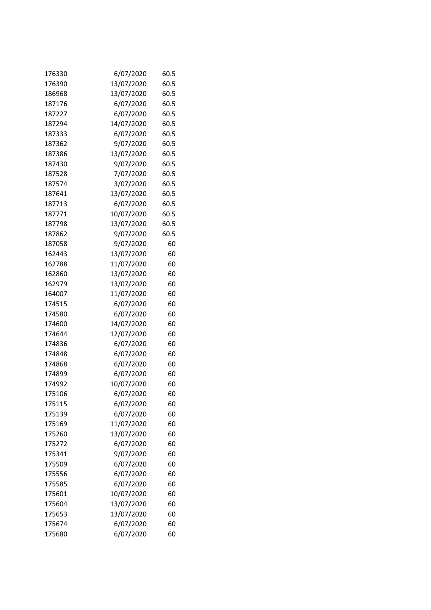| 176330 | 6/07/2020  | 60.5 |
|--------|------------|------|
| 176390 | 13/07/2020 | 60.5 |
| 186968 | 13/07/2020 | 60.5 |
| 187176 | 6/07/2020  | 60.5 |
| 187227 | 6/07/2020  | 60.5 |
| 187294 | 14/07/2020 | 60.5 |
| 187333 | 6/07/2020  | 60.5 |
| 187362 | 9/07/2020  | 60.5 |
| 187386 | 13/07/2020 | 60.5 |
| 187430 | 9/07/2020  | 60.5 |
| 187528 | 7/07/2020  | 60.5 |
| 187574 | 3/07/2020  | 60.5 |
| 187641 | 13/07/2020 | 60.5 |
| 187713 | 6/07/2020  | 60.5 |
| 187771 | 10/07/2020 | 60.5 |
| 187798 | 13/07/2020 | 60.5 |
| 187862 | 9/07/2020  | 60.5 |
| 187058 | 9/07/2020  | 60   |
| 162443 | 13/07/2020 | 60   |
| 162788 | 11/07/2020 | 60   |
| 162860 | 13/07/2020 | 60   |
| 162979 | 13/07/2020 | 60   |
| 164007 | 11/07/2020 | 60   |
| 174515 | 6/07/2020  | 60   |
| 174580 | 6/07/2020  | 60   |
| 174600 | 14/07/2020 | 60   |
| 174644 | 12/07/2020 | 60   |
| 174836 | 6/07/2020  | 60   |
| 174848 | 6/07/2020  | 60   |
| 174868 | 6/07/2020  | 60   |
| 174899 | 6/07/2020  | 60   |
| 174992 | 10/07/2020 | 60   |
| 175106 | 6/07/2020  | 60   |
| 175115 | 6/07/2020  | 60   |
| 175139 | 6/07/2020  | 60   |
| 175169 | 11/07/2020 | 60   |
| 175260 | 13/07/2020 | 60   |
| 175272 | 6/07/2020  | 60   |
| 175341 | 9/07/2020  | 60   |
| 175509 | 6/07/2020  | 60   |
| 175556 | 6/07/2020  | 60   |
| 175585 | 6/07/2020  | 60   |
| 175601 | 10/07/2020 | 60   |
| 175604 | 13/07/2020 | 60   |
| 175653 | 13/07/2020 | 60   |
| 175674 | 6/07/2020  | 60   |
| 175680 | 6/07/2020  | 60   |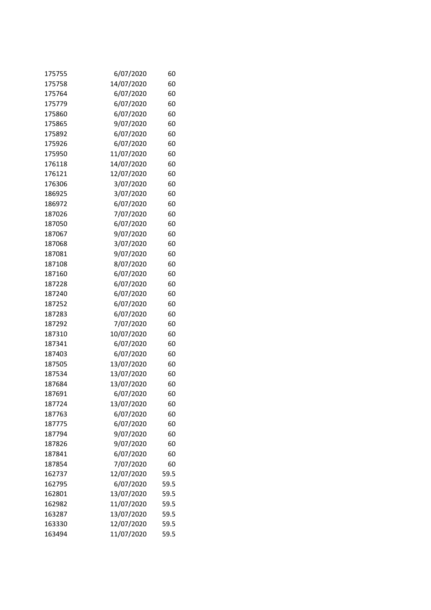| 175755 | 6/07/2020  | 60   |
|--------|------------|------|
| 175758 | 14/07/2020 | 60   |
| 175764 | 6/07/2020  | 60   |
| 175779 | 6/07/2020  | 60   |
| 175860 | 6/07/2020  | 60   |
| 175865 | 9/07/2020  | 60   |
| 175892 | 6/07/2020  | 60   |
| 175926 | 6/07/2020  | 60   |
| 175950 | 11/07/2020 | 60   |
| 176118 | 14/07/2020 | 60   |
| 176121 | 12/07/2020 | 60   |
| 176306 | 3/07/2020  | 60   |
| 186925 | 3/07/2020  | 60   |
| 186972 | 6/07/2020  | 60   |
| 187026 | 7/07/2020  | 60   |
| 187050 | 6/07/2020  | 60   |
| 187067 | 9/07/2020  | 60   |
| 187068 | 3/07/2020  | 60   |
| 187081 | 9/07/2020  | 60   |
| 187108 | 8/07/2020  | 60   |
| 187160 | 6/07/2020  | 60   |
| 187228 | 6/07/2020  | 60   |
| 187240 | 6/07/2020  | 60   |
| 187252 | 6/07/2020  | 60   |
| 187283 | 6/07/2020  | 60   |
| 187292 | 7/07/2020  | 60   |
| 187310 | 10/07/2020 | 60   |
| 187341 | 6/07/2020  | 60   |
| 187403 | 6/07/2020  | 60   |
| 187505 | 13/07/2020 | 60   |
| 187534 | 13/07/2020 | 60   |
| 187684 | 13/07/2020 | 60   |
| 187691 | 6/07/2020  | 60   |
| 187724 | 13/07/2020 | 60   |
| 187763 | 6/07/2020  | 60   |
| 187775 | 6/07/2020  | 60   |
| 187794 | 9/07/2020  | 60   |
| 187826 | 9/07/2020  | 60   |
| 187841 | 6/07/2020  | 60   |
| 187854 | 7/07/2020  | 60   |
| 162737 | 12/07/2020 | 59.5 |
| 162795 | 6/07/2020  | 59.5 |
| 162801 | 13/07/2020 | 59.5 |
| 162982 | 11/07/2020 | 59.5 |
| 163287 | 13/07/2020 | 59.5 |
| 163330 | 12/07/2020 | 59.5 |
| 163494 | 11/07/2020 | 59.5 |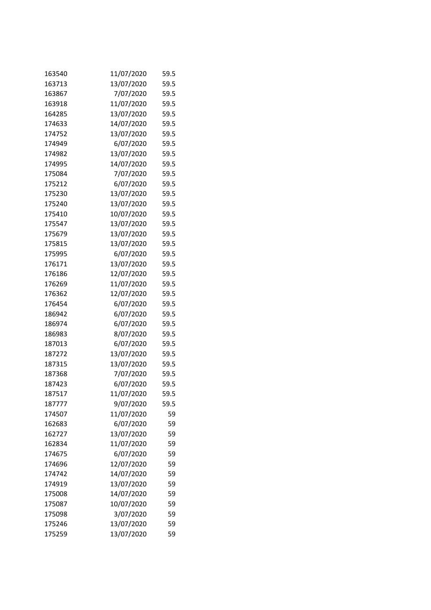| 163540 | 11/07/2020 | 59.5 |
|--------|------------|------|
| 163713 | 13/07/2020 | 59.5 |
| 163867 | 7/07/2020  | 59.5 |
| 163918 | 11/07/2020 | 59.5 |
| 164285 | 13/07/2020 | 59.5 |
| 174633 | 14/07/2020 | 59.5 |
| 174752 | 13/07/2020 | 59.5 |
| 174949 | 6/07/2020  | 59.5 |
| 174982 | 13/07/2020 | 59.5 |
| 174995 | 14/07/2020 | 59.5 |
| 175084 | 7/07/2020  | 59.5 |
| 175212 | 6/07/2020  | 59.5 |
| 175230 | 13/07/2020 | 59.5 |
| 175240 | 13/07/2020 | 59.5 |
| 175410 | 10/07/2020 | 59.5 |
| 175547 | 13/07/2020 | 59.5 |
| 175679 | 13/07/2020 | 59.5 |
| 175815 | 13/07/2020 | 59.5 |
| 175995 | 6/07/2020  | 59.5 |
| 176171 | 13/07/2020 | 59.5 |
| 176186 | 12/07/2020 | 59.5 |
| 176269 | 11/07/2020 | 59.5 |
| 176362 | 12/07/2020 | 59.5 |
| 176454 | 6/07/2020  | 59.5 |
| 186942 | 6/07/2020  | 59.5 |
| 186974 | 6/07/2020  | 59.5 |
| 186983 | 8/07/2020  | 59.5 |
| 187013 | 6/07/2020  | 59.5 |
| 187272 | 13/07/2020 | 59.5 |
| 187315 | 13/07/2020 | 59.5 |
| 187368 | 7/07/2020  | 59.5 |
| 187423 | 6/07/2020  | 59.5 |
| 187517 | 11/07/2020 | 59.5 |
| 187777 | 9/07/2020  | 59.5 |
| 174507 | 11/07/2020 | 59   |
| 162683 | 6/07/2020  | 59   |
| 162727 | 13/07/2020 | 59   |
| 162834 | 11/07/2020 | 59   |
| 174675 | 6/07/2020  | 59   |
| 174696 | 12/07/2020 | 59   |
| 174742 | 14/07/2020 | 59   |
| 174919 | 13/07/2020 | 59   |
| 175008 | 14/07/2020 | 59   |
| 175087 | 10/07/2020 | 59   |
| 175098 | 3/07/2020  | 59   |
| 175246 | 13/07/2020 | 59   |
| 175259 | 13/07/2020 | 59   |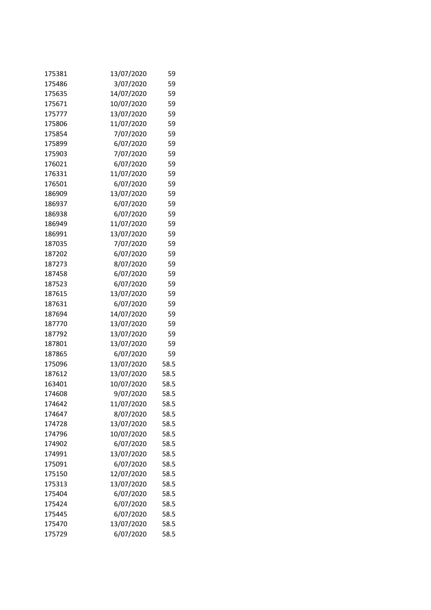| 175381 | 13/07/2020 | 59   |
|--------|------------|------|
| 175486 | 3/07/2020  | 59   |
| 175635 | 14/07/2020 | 59   |
| 175671 | 10/07/2020 | 59   |
| 175777 | 13/07/2020 | 59   |
| 175806 | 11/07/2020 | 59   |
| 175854 | 7/07/2020  | 59   |
| 175899 | 6/07/2020  | 59   |
| 175903 | 7/07/2020  | 59   |
| 176021 | 6/07/2020  | 59   |
| 176331 | 11/07/2020 | 59   |
| 176501 | 6/07/2020  | 59   |
| 186909 | 13/07/2020 | 59   |
| 186937 | 6/07/2020  | 59   |
| 186938 | 6/07/2020  | 59   |
| 186949 | 11/07/2020 | 59   |
| 186991 | 13/07/2020 | 59   |
| 187035 | 7/07/2020  | 59   |
| 187202 | 6/07/2020  | 59   |
| 187273 | 8/07/2020  | 59   |
| 187458 | 6/07/2020  | 59   |
| 187523 | 6/07/2020  | 59   |
| 187615 | 13/07/2020 | 59   |
| 187631 | 6/07/2020  | 59   |
| 187694 | 14/07/2020 | 59   |
| 187770 | 13/07/2020 | 59   |
| 187792 | 13/07/2020 | 59   |
| 187801 | 13/07/2020 | 59   |
| 187865 | 6/07/2020  | 59   |
| 175096 | 13/07/2020 | 58.5 |
| 187612 | 13/07/2020 | 58.5 |
| 163401 | 10/07/2020 | 58.5 |
| 174608 | 9/07/2020  | 58.5 |
| 174642 | 11/07/2020 | 58.5 |
| 174647 | 8/07/2020  | 58.5 |
| 174728 | 13/07/2020 | 58.5 |
| 174796 | 10/07/2020 | 58.5 |
| 174902 | 6/07/2020  | 58.5 |
| 174991 | 13/07/2020 | 58.5 |
| 175091 | 6/07/2020  | 58.5 |
| 175150 | 12/07/2020 | 58.5 |
| 175313 | 13/07/2020 | 58.5 |
| 175404 | 6/07/2020  | 58.5 |
| 175424 | 6/07/2020  | 58.5 |
| 175445 | 6/07/2020  | 58.5 |
| 175470 | 13/07/2020 | 58.5 |
| 175729 | 6/07/2020  | 58.5 |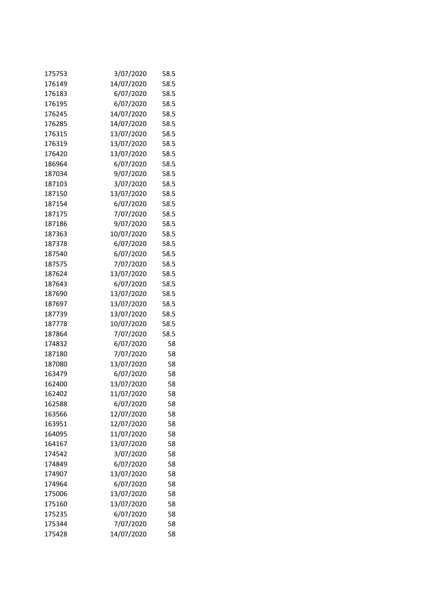| 175753 | 3/07/2020  | 58.5 |
|--------|------------|------|
| 176149 | 14/07/2020 | 58.5 |
| 176183 | 6/07/2020  | 58.5 |
| 176195 | 6/07/2020  | 58.5 |
| 176245 | 14/07/2020 | 58.5 |
| 176285 | 14/07/2020 | 58.5 |
| 176315 | 13/07/2020 | 58.5 |
| 176319 | 13/07/2020 | 58.5 |
| 176420 | 13/07/2020 | 58.5 |
| 186964 | 6/07/2020  | 58.5 |
| 187034 | 9/07/2020  | 58.5 |
| 187103 | 3/07/2020  | 58.5 |
| 187150 | 13/07/2020 | 58.5 |
| 187154 | 6/07/2020  | 58.5 |
| 187175 | 7/07/2020  | 58.5 |
| 187186 | 9/07/2020  | 58.5 |
| 187363 | 10/07/2020 | 58.5 |
| 187378 | 6/07/2020  | 58.5 |
| 187540 | 6/07/2020  | 58.5 |
| 187575 | 7/07/2020  | 58.5 |
| 187624 | 13/07/2020 | 58.5 |
| 187643 | 6/07/2020  | 58.5 |
| 187690 | 13/07/2020 | 58.5 |
| 187697 | 13/07/2020 | 58.5 |
| 187739 | 13/07/2020 | 58.5 |
| 187778 | 10/07/2020 | 58.5 |
| 187864 | 7/07/2020  | 58.5 |
| 174832 | 6/07/2020  | 58   |
| 187180 | 7/07/2020  | 58   |
| 187080 | 13/07/2020 | 58   |
| 163479 | 6/07/2020  | 58   |
| 162400 | 13/07/2020 | 58   |
| 162402 | 11/07/2020 | 58   |
| 162588 | 6/07/2020  | 58   |
| 163566 | 12/07/2020 | 58   |
| 163951 | 12/07/2020 | 58   |
| 164095 | 11/07/2020 | 58   |
| 164167 | 13/07/2020 | 58   |
| 174542 | 3/07/2020  | 58   |
| 174849 | 6/07/2020  | 58   |
| 174907 | 13/07/2020 | 58   |
| 174964 | 6/07/2020  | 58   |
| 175006 | 13/07/2020 | 58   |
| 175160 | 13/07/2020 | 58   |
| 175235 | 6/07/2020  | 58   |
| 175344 | 7/07/2020  | 58   |
| 175428 | 14/07/2020 | 58   |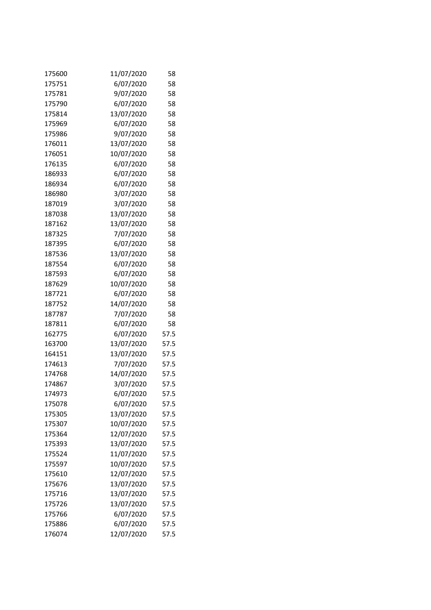| 175600 | 11/07/2020 | 58   |
|--------|------------|------|
| 175751 | 6/07/2020  | 58   |
| 175781 | 9/07/2020  | 58   |
| 175790 | 6/07/2020  | 58   |
| 175814 | 13/07/2020 | 58   |
| 175969 | 6/07/2020  | 58   |
| 175986 | 9/07/2020  | 58   |
| 176011 | 13/07/2020 | 58   |
| 176051 | 10/07/2020 | 58   |
| 176135 | 6/07/2020  | 58   |
| 186933 | 6/07/2020  | 58   |
| 186934 | 6/07/2020  | 58   |
| 186980 | 3/07/2020  | 58   |
| 187019 | 3/07/2020  | 58   |
| 187038 | 13/07/2020 | 58   |
| 187162 | 13/07/2020 | 58   |
| 187325 | 7/07/2020  | 58   |
| 187395 | 6/07/2020  | 58   |
| 187536 | 13/07/2020 | 58   |
| 187554 | 6/07/2020  | 58   |
| 187593 | 6/07/2020  | 58   |
| 187629 | 10/07/2020 | 58   |
| 187721 | 6/07/2020  | 58   |
| 187752 | 14/07/2020 | 58   |
| 187787 | 7/07/2020  | 58   |
| 187811 | 6/07/2020  | 58   |
| 162775 | 6/07/2020  | 57.5 |
| 163700 | 13/07/2020 | 57.5 |
| 164151 | 13/07/2020 | 57.5 |
| 174613 | 7/07/2020  | 57.5 |
| 174768 | 14/07/2020 | 57.5 |
| 174867 | 3/07/2020  | 57.5 |
| 174973 | 6/07/2020  | 57.5 |
| 175078 | 6/07/2020  | 57.5 |
| 175305 | 13/07/2020 | 57.5 |
| 175307 | 10/07/2020 | 57.5 |
| 175364 | 12/07/2020 | 57.5 |
| 175393 | 13/07/2020 | 57.5 |
| 175524 | 11/07/2020 | 57.5 |
| 175597 | 10/07/2020 | 57.5 |
| 175610 | 12/07/2020 | 57.5 |
| 175676 | 13/07/2020 | 57.5 |
| 175716 | 13/07/2020 | 57.5 |
| 175726 | 13/07/2020 | 57.5 |
| 175766 | 6/07/2020  | 57.5 |
| 175886 | 6/07/2020  | 57.5 |
| 176074 | 12/07/2020 | 57.5 |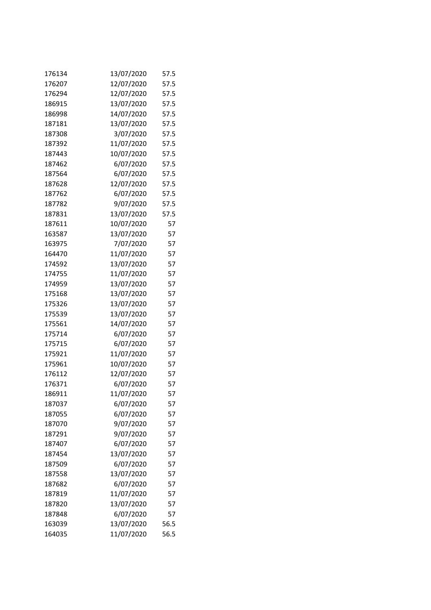| 176134 | 13/07/2020 | 57.5 |
|--------|------------|------|
| 176207 | 12/07/2020 | 57.5 |
| 176294 | 12/07/2020 | 57.5 |
| 186915 | 13/07/2020 | 57.5 |
| 186998 | 14/07/2020 | 57.5 |
| 187181 | 13/07/2020 | 57.5 |
| 187308 | 3/07/2020  | 57.5 |
| 187392 | 11/07/2020 | 57.5 |
| 187443 | 10/07/2020 | 57.5 |
| 187462 | 6/07/2020  | 57.5 |
| 187564 | 6/07/2020  | 57.5 |
| 187628 | 12/07/2020 | 57.5 |
| 187762 | 6/07/2020  | 57.5 |
| 187782 | 9/07/2020  | 57.5 |
| 187831 | 13/07/2020 | 57.5 |
| 187611 | 10/07/2020 | 57   |
| 163587 | 13/07/2020 | 57   |
| 163975 | 7/07/2020  | 57   |
| 164470 | 11/07/2020 | 57   |
| 174592 | 13/07/2020 | 57   |
| 174755 | 11/07/2020 | 57   |
| 174959 | 13/07/2020 | 57   |
| 175168 | 13/07/2020 | 57   |
| 175326 | 13/07/2020 | 57   |
| 175539 | 13/07/2020 | 57   |
| 175561 | 14/07/2020 | 57   |
| 175714 | 6/07/2020  | 57   |
| 175715 | 6/07/2020  | 57   |
| 175921 | 11/07/2020 | 57   |
| 175961 | 10/07/2020 | 57   |
| 176112 | 12/07/2020 | 57   |
| 176371 | 6/07/2020  | 57   |
| 186911 | 11/07/2020 | 57   |
| 187037 | 6/07/2020  | 57   |
| 187055 | 6/07/2020  | 57   |
| 187070 | 9/07/2020  | 57   |
| 187291 | 9/07/2020  | 57   |
| 187407 | 6/07/2020  | 57   |
| 187454 | 13/07/2020 | 57   |
| 187509 | 6/07/2020  | 57   |
| 187558 | 13/07/2020 | 57   |
| 187682 | 6/07/2020  | 57   |
| 187819 | 11/07/2020 | 57   |
| 187820 | 13/07/2020 | 57   |
| 187848 | 6/07/2020  | 57   |
| 163039 | 13/07/2020 | 56.5 |
| 164035 | 11/07/2020 | 56.5 |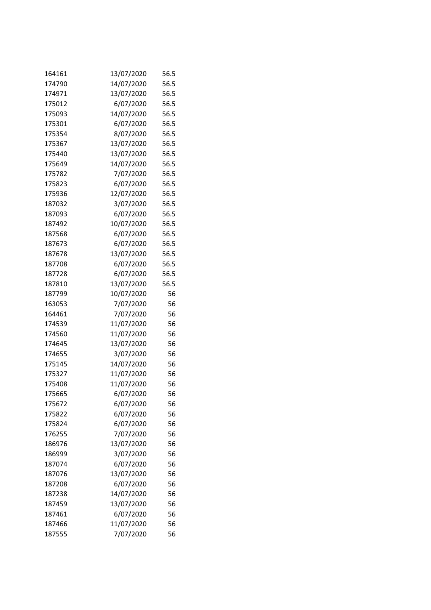| 164161 | 13/07/2020 | 56.5 |
|--------|------------|------|
| 174790 | 14/07/2020 | 56.5 |
| 174971 | 13/07/2020 | 56.5 |
| 175012 | 6/07/2020  | 56.5 |
| 175093 | 14/07/2020 | 56.5 |
| 175301 | 6/07/2020  | 56.5 |
| 175354 | 8/07/2020  | 56.5 |
| 175367 | 13/07/2020 | 56.5 |
| 175440 | 13/07/2020 | 56.5 |
| 175649 | 14/07/2020 | 56.5 |
| 175782 | 7/07/2020  | 56.5 |
| 175823 | 6/07/2020  | 56.5 |
| 175936 | 12/07/2020 | 56.5 |
| 187032 | 3/07/2020  | 56.5 |
| 187093 | 6/07/2020  | 56.5 |
| 187492 | 10/07/2020 | 56.5 |
| 187568 | 6/07/2020  | 56.5 |
| 187673 | 6/07/2020  | 56.5 |
| 187678 | 13/07/2020 | 56.5 |
| 187708 | 6/07/2020  | 56.5 |
| 187728 | 6/07/2020  | 56.5 |
| 187810 | 13/07/2020 | 56.5 |
| 187799 | 10/07/2020 | 56   |
| 163053 | 7/07/2020  | 56   |
| 164461 | 7/07/2020  | 56   |
| 174539 | 11/07/2020 | 56   |
| 174560 | 11/07/2020 | 56   |
| 174645 | 13/07/2020 | 56   |
| 174655 | 3/07/2020  | 56   |
| 175145 | 14/07/2020 | 56   |
| 175327 | 11/07/2020 | 56   |
| 175408 | 11/07/2020 | 56   |
| 175665 | 6/07/2020  | 56   |
| 175672 | 6/07/2020  | 56   |
| 175822 | 6/07/2020  | 56   |
| 175824 | 6/07/2020  | 56   |
| 176255 | 7/07/2020  | 56   |
| 186976 | 13/07/2020 | 56   |
| 186999 | 3/07/2020  | 56   |
| 187074 | 6/07/2020  | 56   |
| 187076 | 13/07/2020 | 56   |
| 187208 | 6/07/2020  | 56   |
| 187238 | 14/07/2020 | 56   |
| 187459 | 13/07/2020 | 56   |
| 187461 | 6/07/2020  | 56   |
| 187466 | 11/07/2020 | 56   |
| 187555 | 7/07/2020  | 56   |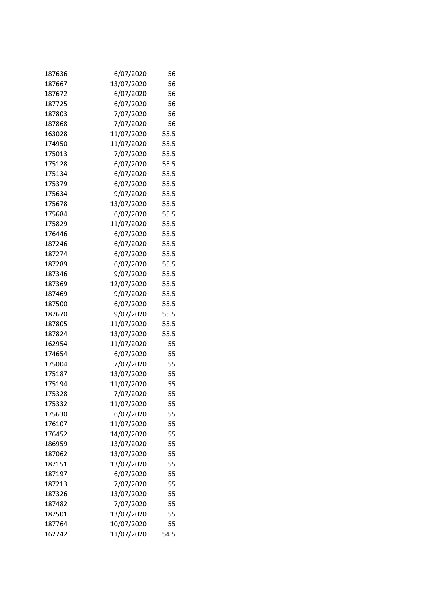| 187636 | 6/07/2020  | 56   |
|--------|------------|------|
| 187667 | 13/07/2020 | 56   |
| 187672 | 6/07/2020  | 56   |
| 187725 | 6/07/2020  | 56   |
| 187803 | 7/07/2020  | 56   |
| 187868 | 7/07/2020  | 56   |
| 163028 | 11/07/2020 | 55.5 |
| 174950 | 11/07/2020 | 55.5 |
| 175013 | 7/07/2020  | 55.5 |
| 175128 | 6/07/2020  | 55.5 |
| 175134 | 6/07/2020  | 55.5 |
| 175379 | 6/07/2020  | 55.5 |
| 175634 | 9/07/2020  | 55.5 |
| 175678 | 13/07/2020 | 55.5 |
| 175684 | 6/07/2020  | 55.5 |
| 175829 | 11/07/2020 | 55.5 |
| 176446 | 6/07/2020  | 55.5 |
| 187246 | 6/07/2020  | 55.5 |
| 187274 | 6/07/2020  | 55.5 |
| 187289 | 6/07/2020  | 55.5 |
| 187346 | 9/07/2020  | 55.5 |
| 187369 | 12/07/2020 | 55.5 |
| 187469 | 9/07/2020  | 55.5 |
| 187500 | 6/07/2020  | 55.5 |
| 187670 | 9/07/2020  | 55.5 |
| 187805 | 11/07/2020 | 55.5 |
| 187824 | 13/07/2020 | 55.5 |
| 162954 | 11/07/2020 | 55   |
| 174654 | 6/07/2020  | 55   |
| 175004 | 7/07/2020  | 55   |
| 175187 | 13/07/2020 | 55   |
| 175194 | 11/07/2020 | 55   |
| 175328 | 7/07/2020  | 55   |
| 175332 | 11/07/2020 | 55   |
| 175630 | 6/07/2020  | 55   |
| 176107 | 11/07/2020 | 55   |
| 176452 | 14/07/2020 | 55   |
| 186959 | 13/07/2020 | 55   |
| 187062 | 13/07/2020 | 55   |
| 187151 | 13/07/2020 | 55   |
| 187197 | 6/07/2020  | 55   |
| 187213 | 7/07/2020  | 55   |
| 187326 | 13/07/2020 | 55   |
| 187482 | 7/07/2020  | 55   |
| 187501 | 13/07/2020 | 55   |
| 187764 | 10/07/2020 | 55   |
| 162742 | 11/07/2020 | 54.5 |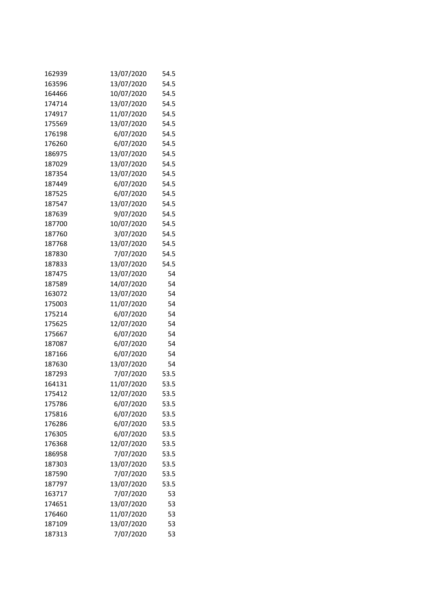| 162939 | 13/07/2020 | 54.5 |
|--------|------------|------|
| 163596 | 13/07/2020 | 54.5 |
| 164466 | 10/07/2020 | 54.5 |
| 174714 | 13/07/2020 | 54.5 |
| 174917 | 11/07/2020 | 54.5 |
| 175569 | 13/07/2020 | 54.5 |
| 176198 | 6/07/2020  | 54.5 |
| 176260 | 6/07/2020  | 54.5 |
| 186975 | 13/07/2020 | 54.5 |
| 187029 | 13/07/2020 | 54.5 |
| 187354 | 13/07/2020 | 54.5 |
| 187449 | 6/07/2020  | 54.5 |
| 187525 | 6/07/2020  | 54.5 |
| 187547 | 13/07/2020 | 54.5 |
| 187639 | 9/07/2020  | 54.5 |
| 187700 | 10/07/2020 | 54.5 |
| 187760 | 3/07/2020  | 54.5 |
| 187768 | 13/07/2020 | 54.5 |
| 187830 | 7/07/2020  | 54.5 |
| 187833 | 13/07/2020 | 54.5 |
| 187475 | 13/07/2020 | 54   |
| 187589 | 14/07/2020 | 54   |
| 163072 | 13/07/2020 | 54   |
| 175003 | 11/07/2020 | 54   |
| 175214 | 6/07/2020  | 54   |
| 175625 | 12/07/2020 | 54   |
| 175667 | 6/07/2020  | 54   |
| 187087 | 6/07/2020  | 54   |
| 187166 | 6/07/2020  | 54   |
| 187630 | 13/07/2020 | 54   |
| 187293 | 7/07/2020  | 53.5 |
| 164131 | 11/07/2020 | 53.5 |
| 175412 | 12/07/2020 | 53.5 |
| 175786 | 6/07/2020  | 53.5 |
| 175816 | 6/07/2020  | 53.5 |
| 176286 | 6/07/2020  | 53.5 |
| 176305 | 6/07/2020  | 53.5 |
| 176368 | 12/07/2020 | 53.5 |
| 186958 | 7/07/2020  | 53.5 |
| 187303 | 13/07/2020 | 53.5 |
| 187590 | 7/07/2020  | 53.5 |
| 187797 | 13/07/2020 | 53.5 |
| 163717 | 7/07/2020  | 53   |
| 174651 | 13/07/2020 | 53   |
| 176460 | 11/07/2020 | 53   |
| 187109 | 13/07/2020 | 53   |
| 187313 | 7/07/2020  | 53   |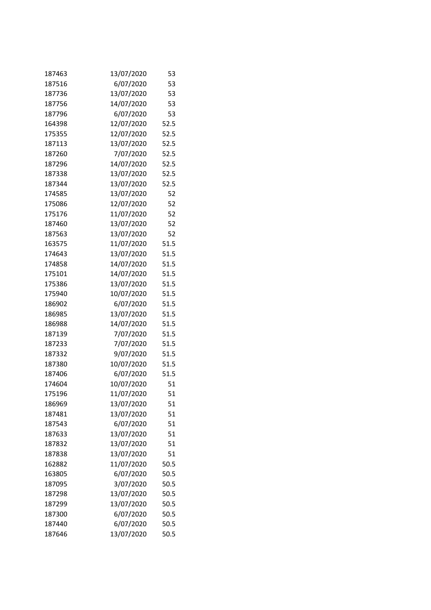| 187463 | 13/07/2020 | 53   |
|--------|------------|------|
| 187516 | 6/07/2020  | 53   |
| 187736 | 13/07/2020 | 53   |
| 187756 | 14/07/2020 | 53   |
| 187796 | 6/07/2020  | 53   |
| 164398 | 12/07/2020 | 52.5 |
| 175355 | 12/07/2020 | 52.5 |
| 187113 | 13/07/2020 | 52.5 |
| 187260 | 7/07/2020  | 52.5 |
| 187296 | 14/07/2020 | 52.5 |
| 187338 | 13/07/2020 | 52.5 |
| 187344 | 13/07/2020 | 52.5 |
| 174585 | 13/07/2020 | 52   |
| 175086 | 12/07/2020 | 52   |
| 175176 | 11/07/2020 | 52   |
| 187460 | 13/07/2020 | 52   |
| 187563 | 13/07/2020 | 52   |
| 163575 | 11/07/2020 | 51.5 |
| 174643 | 13/07/2020 | 51.5 |
| 174858 | 14/07/2020 | 51.5 |
| 175101 | 14/07/2020 | 51.5 |
| 175386 | 13/07/2020 | 51.5 |
| 175940 | 10/07/2020 | 51.5 |
| 186902 | 6/07/2020  | 51.5 |
| 186985 | 13/07/2020 | 51.5 |
| 186988 | 14/07/2020 | 51.5 |
| 187139 | 7/07/2020  | 51.5 |
| 187233 | 7/07/2020  | 51.5 |
| 187332 | 9/07/2020  | 51.5 |
| 187380 | 10/07/2020 | 51.5 |
| 187406 | 6/07/2020  | 51.5 |
| 174604 | 10/07/2020 | 51   |
| 175196 | 11/07/2020 | 51   |
| 186969 | 13/07/2020 | 51   |
| 187481 | 13/07/2020 | 51   |
| 187543 | 6/07/2020  | 51   |
| 187633 | 13/07/2020 | 51   |
| 187832 | 13/07/2020 | 51   |
| 187838 | 13/07/2020 | 51   |
| 162882 | 11/07/2020 | 50.5 |
| 163805 | 6/07/2020  | 50.5 |
| 187095 | 3/07/2020  | 50.5 |
| 187298 | 13/07/2020 | 50.5 |
| 187299 | 13/07/2020 | 50.5 |
| 187300 | 6/07/2020  | 50.5 |
| 187440 | 6/07/2020  | 50.5 |
| 187646 | 13/07/2020 | 50.5 |